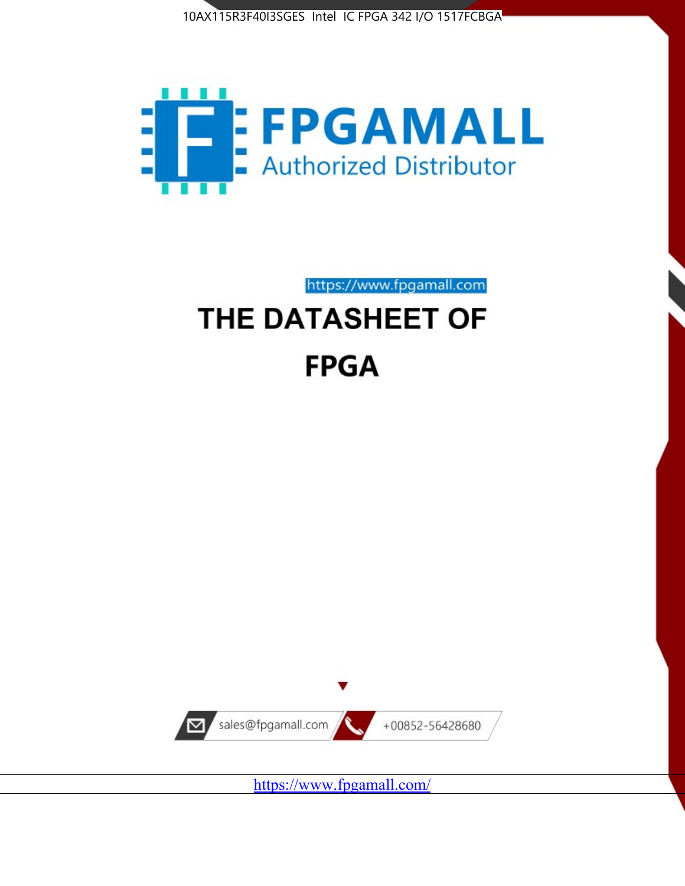



https://www.fpgamall.com

# THE DATASHEET OF **FPGA**



<https://www.fpgamall.com/>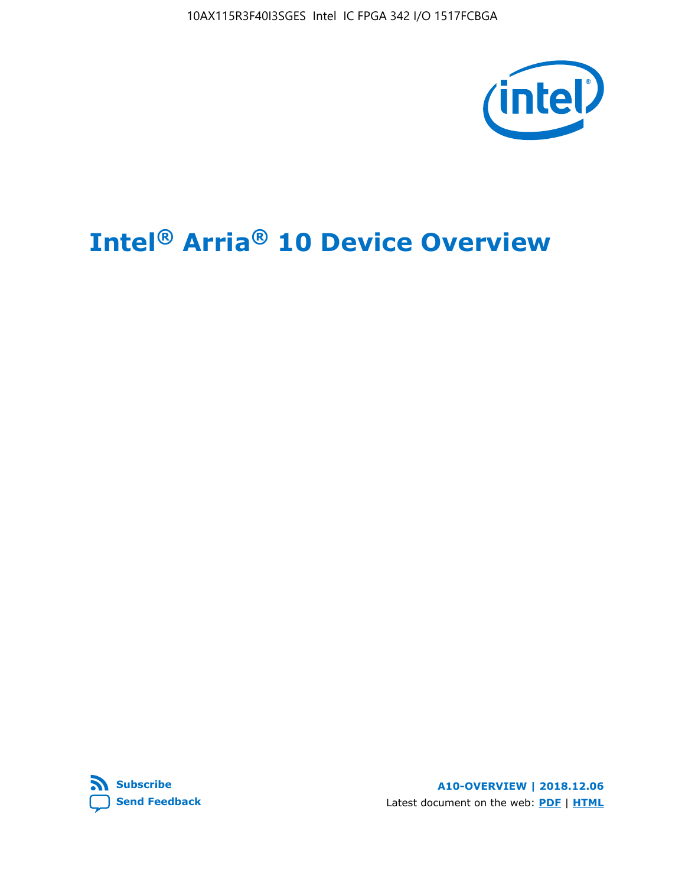10AX115R3F40I3SGES Intel IC FPGA 342 I/O 1517FCBGA



# **Intel® Arria® 10 Device Overview**



**A10-OVERVIEW | 2018.12.06** Latest document on the web: **[PDF](https://www.intel.com/content/dam/www/programmable/us/en/pdfs/literature/hb/arria-10/a10_overview.pdf)** | **[HTML](https://www.intel.com/content/www/us/en/programmable/documentation/sam1403480274650.html)**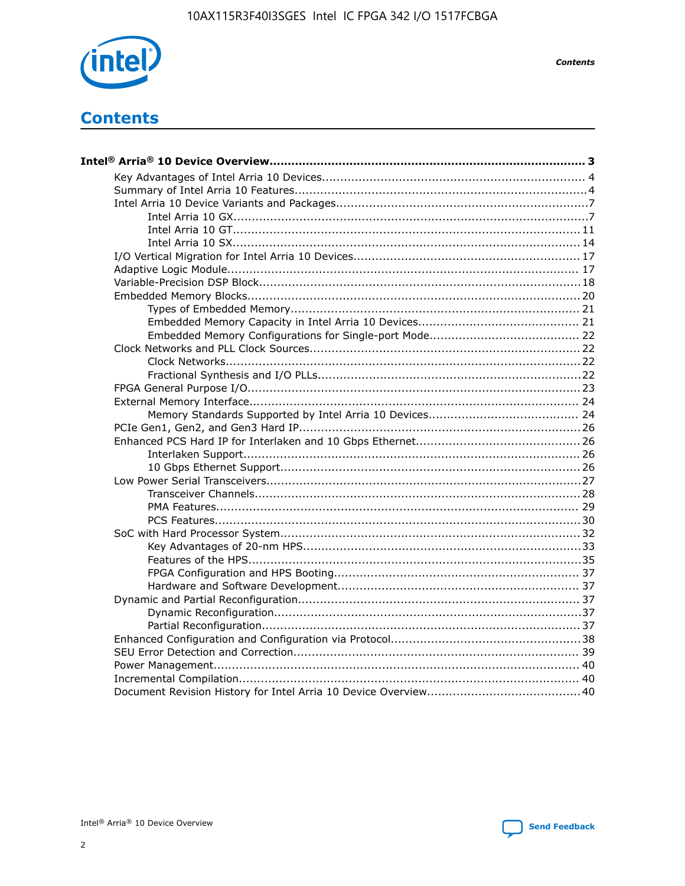

**Contents** 

# **Contents**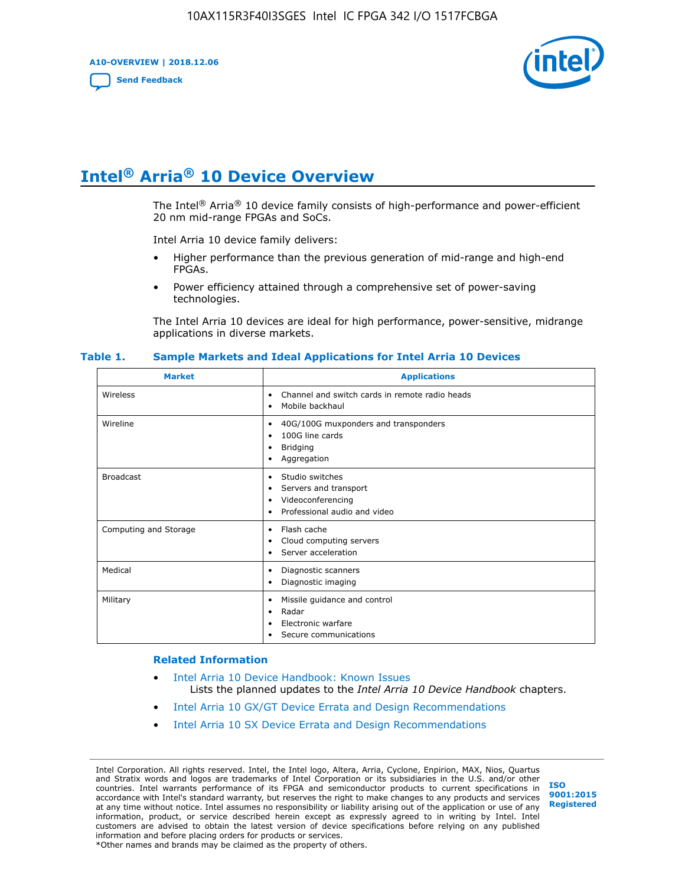**A10-OVERVIEW | 2018.12.06**

**[Send Feedback](mailto:FPGAtechdocfeedback@intel.com?subject=Feedback%20on%20Intel%20Arria%2010%20Device%20Overview%20(A10-OVERVIEW%202018.12.06)&body=We%20appreciate%20your%20feedback.%20In%20your%20comments,%20also%20specify%20the%20page%20number%20or%20paragraph.%20Thank%20you.)**



# **Intel® Arria® 10 Device Overview**

The Intel<sup>®</sup> Arria<sup>®</sup> 10 device family consists of high-performance and power-efficient 20 nm mid-range FPGAs and SoCs.

Intel Arria 10 device family delivers:

- Higher performance than the previous generation of mid-range and high-end FPGAs.
- Power efficiency attained through a comprehensive set of power-saving technologies.

The Intel Arria 10 devices are ideal for high performance, power-sensitive, midrange applications in diverse markets.

| <b>Market</b>         | <b>Applications</b>                                                                                               |
|-----------------------|-------------------------------------------------------------------------------------------------------------------|
| Wireless              | Channel and switch cards in remote radio heads<br>٠<br>Mobile backhaul<br>٠                                       |
| Wireline              | 40G/100G muxponders and transponders<br>٠<br>100G line cards<br>٠<br><b>Bridging</b><br>٠<br>Aggregation<br>٠     |
| <b>Broadcast</b>      | Studio switches<br>٠<br>Servers and transport<br>٠<br>Videoconferencing<br>٠<br>Professional audio and video<br>٠ |
| Computing and Storage | Flash cache<br>٠<br>Cloud computing servers<br>٠<br>Server acceleration<br>٠                                      |
| Medical               | Diagnostic scanners<br>٠<br>Diagnostic imaging<br>٠                                                               |
| Military              | Missile guidance and control<br>٠<br>Radar<br>٠<br>Electronic warfare<br>٠<br>Secure communications<br>٠          |

#### **Table 1. Sample Markets and Ideal Applications for Intel Arria 10 Devices**

#### **Related Information**

- [Intel Arria 10 Device Handbook: Known Issues](http://www.altera.com/support/kdb/solutions/rd07302013_646.html) Lists the planned updates to the *Intel Arria 10 Device Handbook* chapters.
- [Intel Arria 10 GX/GT Device Errata and Design Recommendations](https://www.intel.com/content/www/us/en/programmable/documentation/agz1493851706374.html#yqz1494433888646)
- [Intel Arria 10 SX Device Errata and Design Recommendations](https://www.intel.com/content/www/us/en/programmable/documentation/cru1462832385668.html#cru1462832558642)

Intel Corporation. All rights reserved. Intel, the Intel logo, Altera, Arria, Cyclone, Enpirion, MAX, Nios, Quartus and Stratix words and logos are trademarks of Intel Corporation or its subsidiaries in the U.S. and/or other countries. Intel warrants performance of its FPGA and semiconductor products to current specifications in accordance with Intel's standard warranty, but reserves the right to make changes to any products and services at any time without notice. Intel assumes no responsibility or liability arising out of the application or use of any information, product, or service described herein except as expressly agreed to in writing by Intel. Intel customers are advised to obtain the latest version of device specifications before relying on any published information and before placing orders for products or services. \*Other names and brands may be claimed as the property of others.

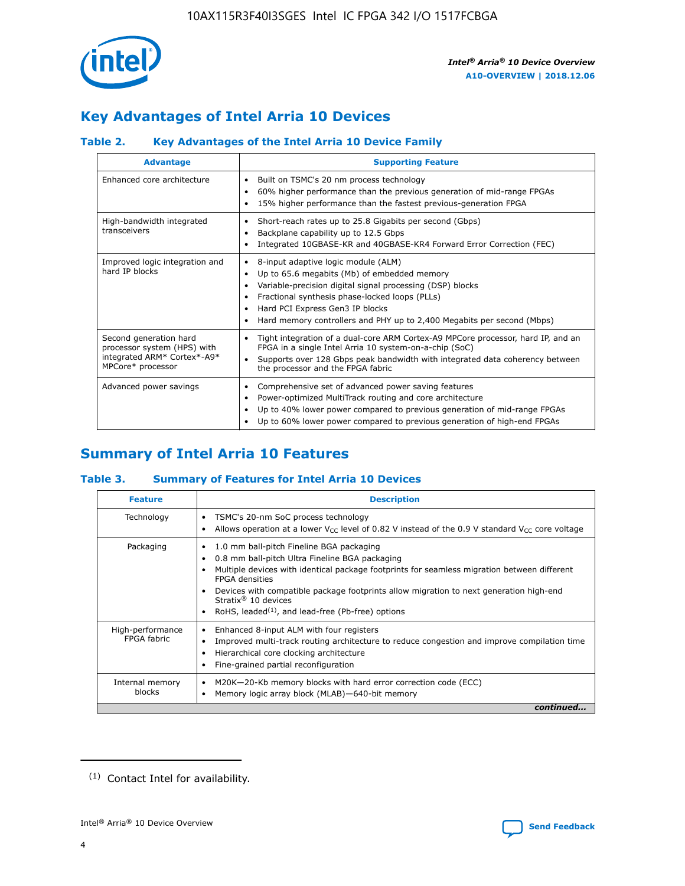

# **Key Advantages of Intel Arria 10 Devices**

## **Table 2. Key Advantages of the Intel Arria 10 Device Family**

| <b>Advantage</b>                                                                                          | <b>Supporting Feature</b>                                                                                                                                                                                                                                                                                                |
|-----------------------------------------------------------------------------------------------------------|--------------------------------------------------------------------------------------------------------------------------------------------------------------------------------------------------------------------------------------------------------------------------------------------------------------------------|
| Enhanced core architecture                                                                                | Built on TSMC's 20 nm process technology<br>٠<br>60% higher performance than the previous generation of mid-range FPGAs<br>٠<br>15% higher performance than the fastest previous-generation FPGA<br>٠                                                                                                                    |
| High-bandwidth integrated<br>transceivers                                                                 | Short-reach rates up to 25.8 Gigabits per second (Gbps)<br>٠<br>Backplane capability up to 12.5 Gbps<br>٠<br>Integrated 10GBASE-KR and 40GBASE-KR4 Forward Error Correction (FEC)<br>٠                                                                                                                                   |
| Improved logic integration and<br>hard IP blocks                                                          | 8-input adaptive logic module (ALM)<br>٠<br>Up to 65.6 megabits (Mb) of embedded memory<br>٠<br>Variable-precision digital signal processing (DSP) blocks<br>Fractional synthesis phase-locked loops (PLLs)<br>Hard PCI Express Gen3 IP blocks<br>Hard memory controllers and PHY up to 2,400 Megabits per second (Mbps) |
| Second generation hard<br>processor system (HPS) with<br>integrated ARM* Cortex*-A9*<br>MPCore* processor | Tight integration of a dual-core ARM Cortex-A9 MPCore processor, hard IP, and an<br>٠<br>FPGA in a single Intel Arria 10 system-on-a-chip (SoC)<br>Supports over 128 Gbps peak bandwidth with integrated data coherency between<br>$\bullet$<br>the processor and the FPGA fabric                                        |
| Advanced power savings                                                                                    | Comprehensive set of advanced power saving features<br>٠<br>Power-optimized MultiTrack routing and core architecture<br>٠<br>Up to 40% lower power compared to previous generation of mid-range FPGAs<br>٠<br>Up to 60% lower power compared to previous generation of high-end FPGAs                                    |

# **Summary of Intel Arria 10 Features**

## **Table 3. Summary of Features for Intel Arria 10 Devices**

| <b>Feature</b>                  | <b>Description</b>                                                                                                                                                                                                                                                                                                                                                                                           |
|---------------------------------|--------------------------------------------------------------------------------------------------------------------------------------------------------------------------------------------------------------------------------------------------------------------------------------------------------------------------------------------------------------------------------------------------------------|
| Technology                      | TSMC's 20-nm SoC process technology<br>Allows operation at a lower $V_{\text{CC}}$ level of 0.82 V instead of the 0.9 V standard $V_{\text{CC}}$ core voltage                                                                                                                                                                                                                                                |
| Packaging                       | 1.0 mm ball-pitch Fineline BGA packaging<br>٠<br>0.8 mm ball-pitch Ultra Fineline BGA packaging<br>Multiple devices with identical package footprints for seamless migration between different<br><b>FPGA</b> densities<br>Devices with compatible package footprints allow migration to next generation high-end<br>Stratix <sup>®</sup> 10 devices<br>RoHS, leaded $(1)$ , and lead-free (Pb-free) options |
| High-performance<br>FPGA fabric | Enhanced 8-input ALM with four registers<br>Improved multi-track routing architecture to reduce congestion and improve compilation time<br>Hierarchical core clocking architecture<br>Fine-grained partial reconfiguration                                                                                                                                                                                   |
| Internal memory<br>blocks       | M20K-20-Kb memory blocks with hard error correction code (ECC)<br>Memory logic array block (MLAB)-640-bit memory                                                                                                                                                                                                                                                                                             |
|                                 | continued                                                                                                                                                                                                                                                                                                                                                                                                    |



<sup>(1)</sup> Contact Intel for availability.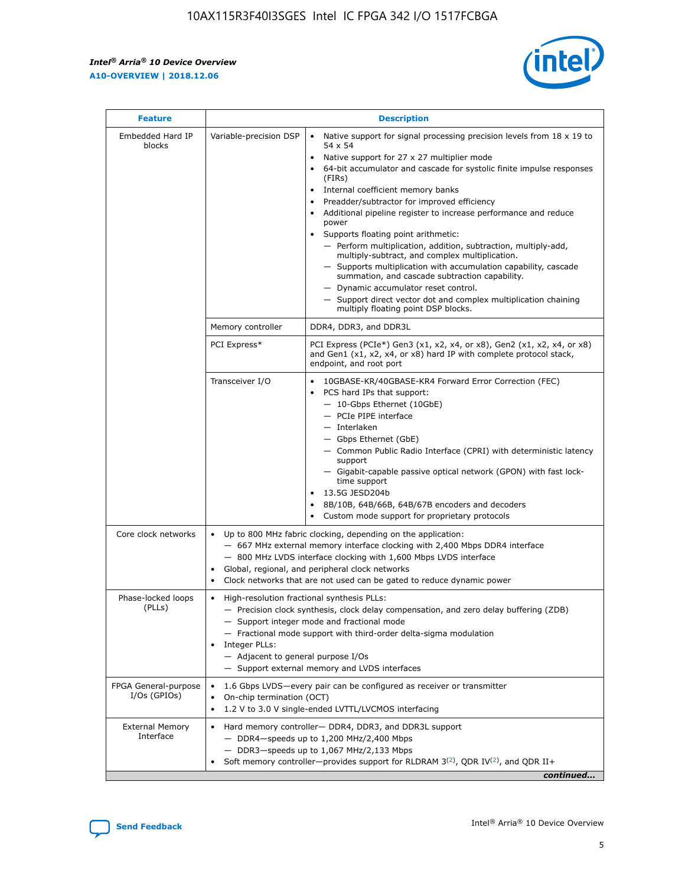r



| <b>Feature</b>                         | <b>Description</b>                                                                                             |                                                                                                                                                                                                                                                                                                                                                                                                                                                                                                                                                                                                                                                                                                                                                                                                                                        |  |  |  |  |  |
|----------------------------------------|----------------------------------------------------------------------------------------------------------------|----------------------------------------------------------------------------------------------------------------------------------------------------------------------------------------------------------------------------------------------------------------------------------------------------------------------------------------------------------------------------------------------------------------------------------------------------------------------------------------------------------------------------------------------------------------------------------------------------------------------------------------------------------------------------------------------------------------------------------------------------------------------------------------------------------------------------------------|--|--|--|--|--|
| Embedded Hard IP<br>blocks             | Variable-precision DSP                                                                                         | Native support for signal processing precision levels from $18 \times 19$ to<br>54 x 54<br>Native support for 27 x 27 multiplier mode<br>64-bit accumulator and cascade for systolic finite impulse responses<br>(FIRs)<br>Internal coefficient memory banks<br>$\bullet$<br>Preadder/subtractor for improved efficiency<br>Additional pipeline register to increase performance and reduce<br>power<br>Supports floating point arithmetic:<br>- Perform multiplication, addition, subtraction, multiply-add,<br>multiply-subtract, and complex multiplication.<br>- Supports multiplication with accumulation capability, cascade<br>summation, and cascade subtraction capability.<br>- Dynamic accumulator reset control.<br>- Support direct vector dot and complex multiplication chaining<br>multiply floating point DSP blocks. |  |  |  |  |  |
|                                        | Memory controller                                                                                              | DDR4, DDR3, and DDR3L                                                                                                                                                                                                                                                                                                                                                                                                                                                                                                                                                                                                                                                                                                                                                                                                                  |  |  |  |  |  |
|                                        | PCI Express*                                                                                                   | PCI Express (PCIe*) Gen3 (x1, x2, x4, or x8), Gen2 (x1, x2, x4, or x8)<br>and Gen1 (x1, x2, x4, or x8) hard IP with complete protocol stack,<br>endpoint, and root port                                                                                                                                                                                                                                                                                                                                                                                                                                                                                                                                                                                                                                                                |  |  |  |  |  |
|                                        | Transceiver I/O                                                                                                | 10GBASE-KR/40GBASE-KR4 Forward Error Correction (FEC)<br>PCS hard IPs that support:<br>$\bullet$<br>- 10-Gbps Ethernet (10GbE)<br>- PCIe PIPE interface<br>$-$ Interlaken<br>- Gbps Ethernet (GbE)<br>- Common Public Radio Interface (CPRI) with deterministic latency<br>support<br>- Gigabit-capable passive optical network (GPON) with fast lock-<br>time support<br>13.5G JESD204b<br>$\bullet$<br>8B/10B, 64B/66B, 64B/67B encoders and decoders<br>Custom mode support for proprietary protocols                                                                                                                                                                                                                                                                                                                               |  |  |  |  |  |
| Core clock networks                    | $\bullet$<br>$\bullet$                                                                                         | Up to 800 MHz fabric clocking, depending on the application:<br>- 667 MHz external memory interface clocking with 2,400 Mbps DDR4 interface<br>- 800 MHz LVDS interface clocking with 1,600 Mbps LVDS interface<br>Global, regional, and peripheral clock networks<br>Clock networks that are not used can be gated to reduce dynamic power                                                                                                                                                                                                                                                                                                                                                                                                                                                                                            |  |  |  |  |  |
| Phase-locked loops<br>(PLLs)           | High-resolution fractional synthesis PLLs:<br>$\bullet$<br>Integer PLLs:<br>- Adjacent to general purpose I/Os | - Precision clock synthesis, clock delay compensation, and zero delay buffering (ZDB)<br>- Support integer mode and fractional mode<br>- Fractional mode support with third-order delta-sigma modulation<br>- Support external memory and LVDS interfaces                                                                                                                                                                                                                                                                                                                                                                                                                                                                                                                                                                              |  |  |  |  |  |
| FPGA General-purpose<br>$I/Os$ (GPIOs) | On-chip termination (OCT)                                                                                      | 1.6 Gbps LVDS-every pair can be configured as receiver or transmitter<br>1.2 V to 3.0 V single-ended LVTTL/LVCMOS interfacing                                                                                                                                                                                                                                                                                                                                                                                                                                                                                                                                                                                                                                                                                                          |  |  |  |  |  |
| <b>External Memory</b><br>Interface    |                                                                                                                | Hard memory controller- DDR4, DDR3, and DDR3L support<br>$-$ DDR4 $-$ speeds up to 1,200 MHz/2,400 Mbps<br>- DDR3-speeds up to 1,067 MHz/2,133 Mbps<br>Soft memory controller—provides support for RLDRAM $3^{(2)}$ , QDR IV $^{(2)}$ , and QDR II+<br>continued                                                                                                                                                                                                                                                                                                                                                                                                                                                                                                                                                                       |  |  |  |  |  |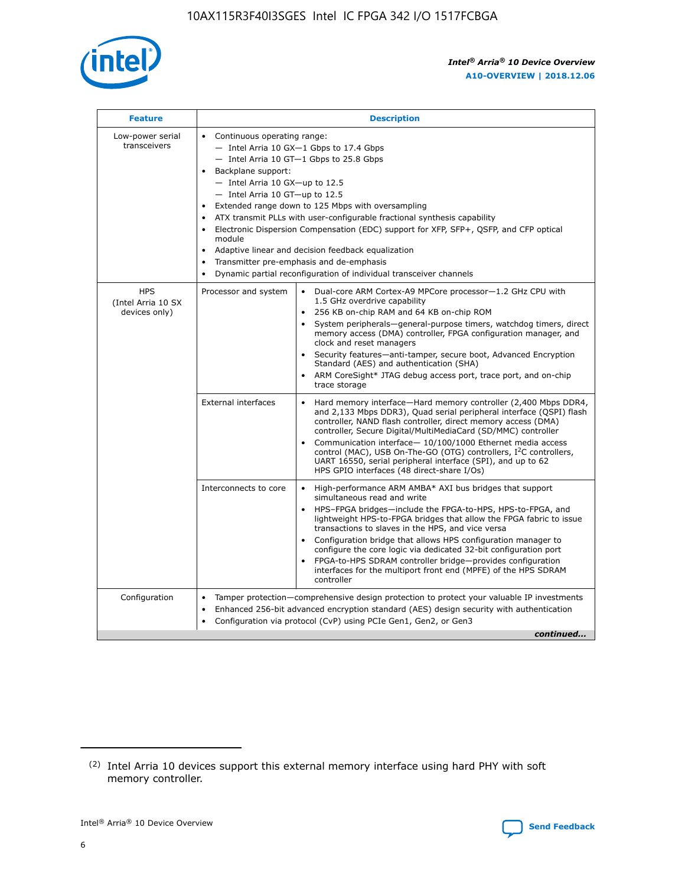

| <b>Feature</b>                                    | <b>Description</b>                                                                                                                                                                                                                                                                                                                                                                                                                                                                                                                                                                                                                                  |
|---------------------------------------------------|-----------------------------------------------------------------------------------------------------------------------------------------------------------------------------------------------------------------------------------------------------------------------------------------------------------------------------------------------------------------------------------------------------------------------------------------------------------------------------------------------------------------------------------------------------------------------------------------------------------------------------------------------------|
| Low-power serial<br>transceivers                  | • Continuous operating range:<br>- Intel Arria 10 GX-1 Gbps to 17.4 Gbps<br>- Intel Arria 10 GT-1 Gbps to 25.8 Gbps<br>Backplane support:<br>- Intel Arria 10 GX-up to 12.5<br>- Intel Arria 10 GT-up to 12.5<br>Extended range down to 125 Mbps with oversampling<br>ATX transmit PLLs with user-configurable fractional synthesis capability<br>Electronic Dispersion Compensation (EDC) support for XFP, SFP+, QSFP, and CFP optical<br>module<br>Adaptive linear and decision feedback equalization<br>$\bullet$<br>Transmitter pre-emphasis and de-emphasis<br>$\bullet$<br>Dynamic partial reconfiguration of individual transceiver channels |
| <b>HPS</b><br>(Intel Arria 10 SX<br>devices only) | Dual-core ARM Cortex-A9 MPCore processor-1.2 GHz CPU with<br>Processor and system<br>$\bullet$<br>1.5 GHz overdrive capability<br>256 KB on-chip RAM and 64 KB on-chip ROM<br>System peripherals—general-purpose timers, watchdog timers, direct<br>memory access (DMA) controller, FPGA configuration manager, and<br>clock and reset managers<br>Security features-anti-tamper, secure boot, Advanced Encryption<br>Standard (AES) and authentication (SHA)<br>ARM CoreSight* JTAG debug access port, trace port, and on-chip<br>trace storage                                                                                                    |
|                                                   | <b>External interfaces</b><br>Hard memory interface-Hard memory controller (2,400 Mbps DDR4,<br>$\bullet$<br>and 2,133 Mbps DDR3), Quad serial peripheral interface (QSPI) flash<br>controller, NAND flash controller, direct memory access (DMA)<br>controller, Secure Digital/MultiMediaCard (SD/MMC) controller<br>Communication interface-10/100/1000 Ethernet media access<br>control (MAC), USB On-The-GO (OTG) controllers, I <sup>2</sup> C controllers,<br>UART 16550, serial peripheral interface (SPI), and up to 62<br>HPS GPIO interfaces (48 direct-share I/Os)                                                                       |
|                                                   | High-performance ARM AMBA* AXI bus bridges that support<br>Interconnects to core<br>$\bullet$<br>simultaneous read and write<br>HPS-FPGA bridges-include the FPGA-to-HPS, HPS-to-FPGA, and<br>$\bullet$<br>lightweight HPS-to-FPGA bridges that allow the FPGA fabric to issue<br>transactions to slaves in the HPS, and vice versa<br>Configuration bridge that allows HPS configuration manager to<br>configure the core logic via dedicated 32-bit configuration port<br>FPGA-to-HPS SDRAM controller bridge-provides configuration<br>interfaces for the multiport front end (MPFE) of the HPS SDRAM<br>controller                              |
| Configuration                                     | Tamper protection—comprehensive design protection to protect your valuable IP investments<br>Enhanced 256-bit advanced encryption standard (AES) design security with authentication<br>٠<br>Configuration via protocol (CvP) using PCIe Gen1, Gen2, or Gen3<br>continued                                                                                                                                                                                                                                                                                                                                                                           |

<sup>(2)</sup> Intel Arria 10 devices support this external memory interface using hard PHY with soft memory controller.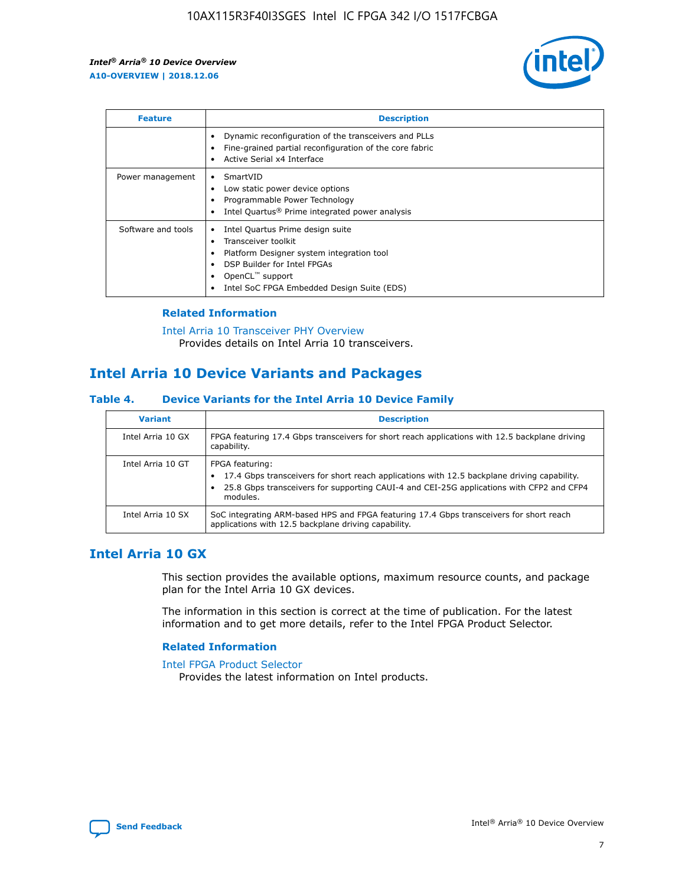

| <b>Feature</b>     | <b>Description</b>                                                                                                                                                                                               |
|--------------------|------------------------------------------------------------------------------------------------------------------------------------------------------------------------------------------------------------------|
|                    | Dynamic reconfiguration of the transceivers and PLLs<br>Fine-grained partial reconfiguration of the core fabric<br>Active Serial x4 Interface<br>$\bullet$                                                       |
| Power management   | SmartVID<br>Low static power device options<br>Programmable Power Technology<br>Intel Quartus <sup>®</sup> Prime integrated power analysis                                                                       |
| Software and tools | Intel Quartus Prime design suite<br>Transceiver toolkit<br>Platform Designer system integration tool<br>DSP Builder for Intel FPGAs<br>OpenCL <sup>™</sup> support<br>Intel SoC FPGA Embedded Design Suite (EDS) |

## **Related Information**

[Intel Arria 10 Transceiver PHY Overview](https://www.intel.com/content/www/us/en/programmable/documentation/nik1398707230472.html#nik1398706768037) Provides details on Intel Arria 10 transceivers.

# **Intel Arria 10 Device Variants and Packages**

#### **Table 4. Device Variants for the Intel Arria 10 Device Family**

| <b>Variant</b>    | <b>Description</b>                                                                                                                                                                                                     |
|-------------------|------------------------------------------------------------------------------------------------------------------------------------------------------------------------------------------------------------------------|
| Intel Arria 10 GX | FPGA featuring 17.4 Gbps transceivers for short reach applications with 12.5 backplane driving<br>capability.                                                                                                          |
| Intel Arria 10 GT | FPGA featuring:<br>17.4 Gbps transceivers for short reach applications with 12.5 backplane driving capability.<br>25.8 Gbps transceivers for supporting CAUI-4 and CEI-25G applications with CFP2 and CFP4<br>modules. |
| Intel Arria 10 SX | SoC integrating ARM-based HPS and FPGA featuring 17.4 Gbps transceivers for short reach<br>applications with 12.5 backplane driving capability.                                                                        |

## **Intel Arria 10 GX**

This section provides the available options, maximum resource counts, and package plan for the Intel Arria 10 GX devices.

The information in this section is correct at the time of publication. For the latest information and to get more details, refer to the Intel FPGA Product Selector.

#### **Related Information**

#### [Intel FPGA Product Selector](http://www.altera.com/products/selector/psg-selector.html) Provides the latest information on Intel products.

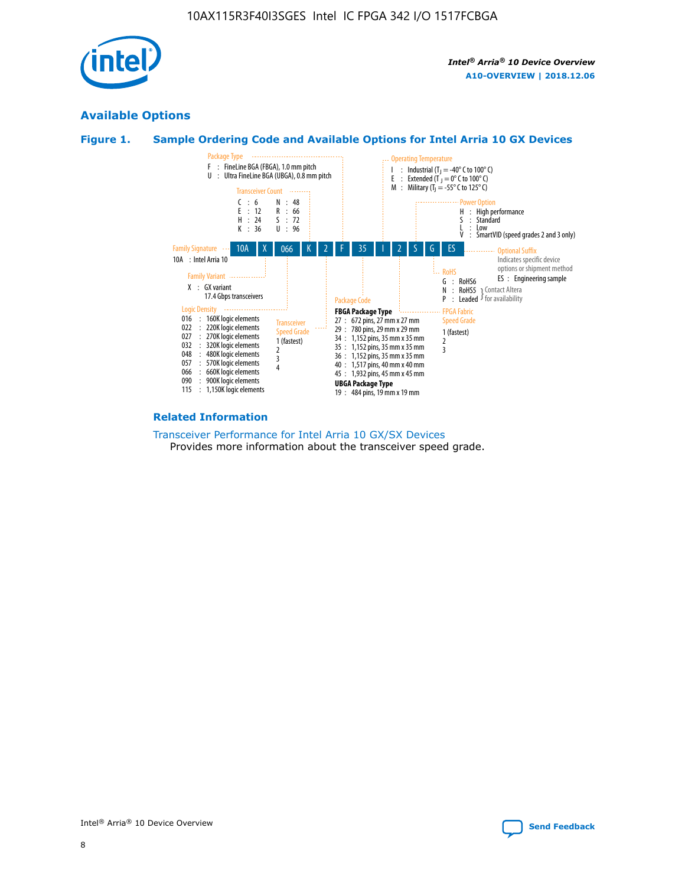

## **Available Options**





#### **Related Information**

[Transceiver Performance for Intel Arria 10 GX/SX Devices](https://www.intel.com/content/www/us/en/programmable/documentation/mcn1413182292568.html#mcn1413213965502) Provides more information about the transceiver speed grade.

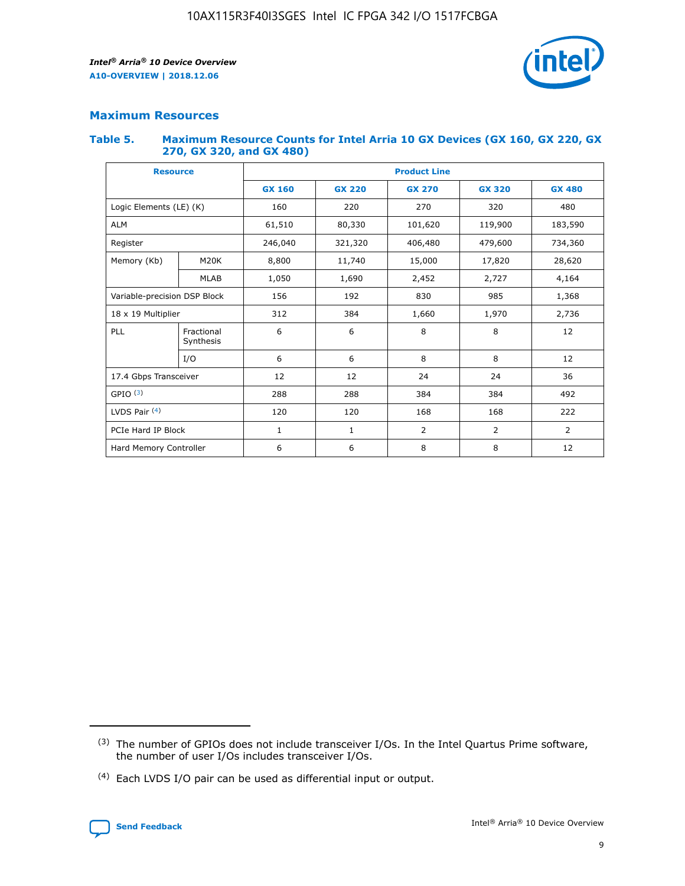

## **Maximum Resources**

#### **Table 5. Maximum Resource Counts for Intel Arria 10 GX Devices (GX 160, GX 220, GX 270, GX 320, and GX 480)**

| <b>Resource</b>              |                         | <b>Product Line</b>      |                                |                |                |                |  |  |  |
|------------------------------|-------------------------|--------------------------|--------------------------------|----------------|----------------|----------------|--|--|--|
|                              |                         | <b>GX 160</b>            | <b>GX 220</b><br><b>GX 270</b> |                | <b>GX 320</b>  | <b>GX 480</b>  |  |  |  |
| Logic Elements (LE) (K)      |                         | 160                      | 220                            | 270            | 320            | 480            |  |  |  |
| <b>ALM</b>                   |                         | 61,510                   | 80,330                         | 101,620        | 119,900        | 183,590        |  |  |  |
| Register                     |                         | 246,040                  | 321,320                        | 406,480        | 479,600        | 734,360        |  |  |  |
| Memory (Kb)                  | M <sub>20</sub> K       | 8,800                    | 11,740                         | 15,000         | 17,820         | 28,620         |  |  |  |
| <b>MLAB</b>                  |                         | 1,050                    | 1,690<br>2,452                 |                | 2,727          | 4,164          |  |  |  |
| Variable-precision DSP Block |                         | 192<br>830<br>985<br>156 |                                |                |                | 1,368          |  |  |  |
| 18 x 19 Multiplier           |                         | 312                      | 384                            | 1,660          | 1,970          | 2,736          |  |  |  |
| PLL                          | Fractional<br>Synthesis | 6                        | 6                              | 8              | 8              | 12             |  |  |  |
|                              | I/O                     | 6                        | 6                              | 8              | 8              | 12             |  |  |  |
| 17.4 Gbps Transceiver        |                         | 12                       | 12                             | 24             | 24             |                |  |  |  |
| GPIO <sup>(3)</sup>          |                         | 288                      | 288<br>384<br>384              |                |                | 492            |  |  |  |
| LVDS Pair $(4)$              |                         | 120                      | 120                            | 168            | 168            | 222            |  |  |  |
| PCIe Hard IP Block           |                         | $\mathbf{1}$             | 1                              | $\overline{2}$ | $\overline{2}$ | $\overline{2}$ |  |  |  |
| Hard Memory Controller       |                         | 6                        | 6                              | 8              | 8              | 12             |  |  |  |

<sup>(4)</sup> Each LVDS I/O pair can be used as differential input or output.



<sup>(3)</sup> The number of GPIOs does not include transceiver I/Os. In the Intel Quartus Prime software, the number of user I/Os includes transceiver I/Os.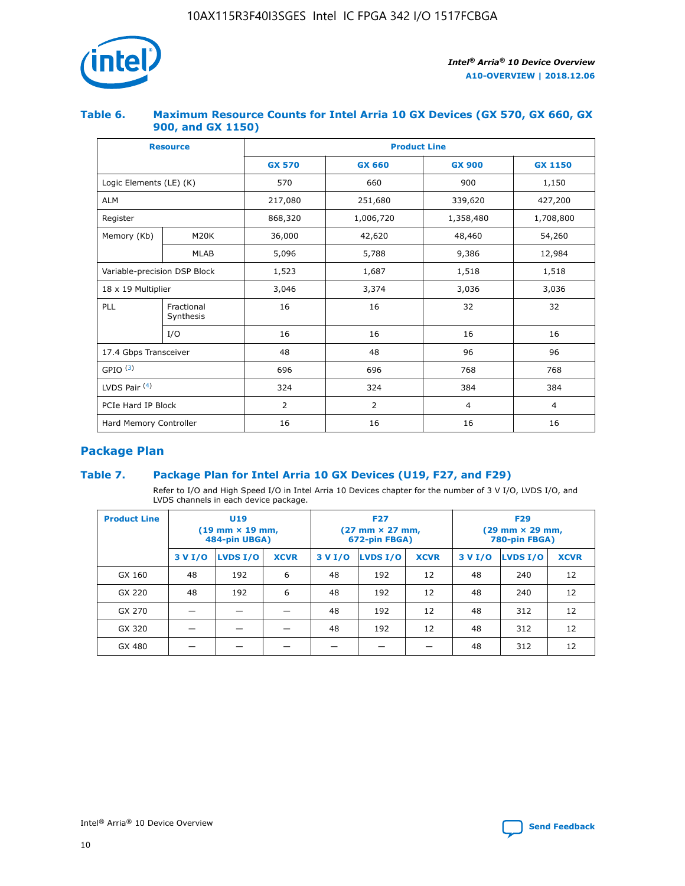

## **Table 6. Maximum Resource Counts for Intel Arria 10 GX Devices (GX 570, GX 660, GX 900, and GX 1150)**

|                              | <b>Resource</b>         | <b>Product Line</b> |                |                |                |  |  |  |
|------------------------------|-------------------------|---------------------|----------------|----------------|----------------|--|--|--|
|                              |                         | <b>GX 570</b>       | <b>GX 660</b>  |                | <b>GX 1150</b> |  |  |  |
| Logic Elements (LE) (K)      |                         | 570                 | 660            | 900            | 1,150          |  |  |  |
| <b>ALM</b>                   |                         | 217,080             | 251,680        | 339,620        | 427,200        |  |  |  |
| Register                     |                         | 868,320             | 1,006,720      | 1,358,480      | 1,708,800      |  |  |  |
| Memory (Kb)                  | <b>M20K</b>             | 36,000              | 42,620         | 48,460         | 54,260         |  |  |  |
|                              | <b>MLAB</b>             | 5,096               | 5,788          | 9,386          | 12,984         |  |  |  |
| Variable-precision DSP Block |                         | 1,523               | 1,687          | 1,518          | 1,518          |  |  |  |
| $18 \times 19$ Multiplier    |                         | 3,046               | 3,374          | 3,036          | 3,036          |  |  |  |
| PLL                          | Fractional<br>Synthesis | 16                  | 16             | 32             | 32             |  |  |  |
|                              | I/O                     | 16                  | 16             | 16             | 16             |  |  |  |
| 17.4 Gbps Transceiver        |                         | 48                  | 48             | 96             | 96             |  |  |  |
| GPIO <sup>(3)</sup>          |                         | 696                 | 696            | 768            | 768            |  |  |  |
| LVDS Pair $(4)$              |                         | 324                 | 324            | 384            | 384            |  |  |  |
| PCIe Hard IP Block           |                         | 2                   | $\overline{2}$ | $\overline{4}$ | 4              |  |  |  |
| Hard Memory Controller       |                         | 16                  | 16             | 16             | 16             |  |  |  |

## **Package Plan**

## **Table 7. Package Plan for Intel Arria 10 GX Devices (U19, F27, and F29)**

Refer to I/O and High Speed I/O in Intel Arria 10 Devices chapter for the number of 3 V I/O, LVDS I/O, and LVDS channels in each device package.

| <b>Product Line</b> | U <sub>19</sub><br>$(19 \text{ mm} \times 19 \text{ mm})$<br>484-pin UBGA) |          |             |         | <b>F27</b><br>(27 mm × 27 mm,<br>672-pin FBGA) |             | <b>F29</b><br>(29 mm × 29 mm,<br>780-pin FBGA) |          |             |  |
|---------------------|----------------------------------------------------------------------------|----------|-------------|---------|------------------------------------------------|-------------|------------------------------------------------|----------|-------------|--|
|                     | 3 V I/O                                                                    | LVDS I/O | <b>XCVR</b> | 3 V I/O | LVDS I/O                                       | <b>XCVR</b> | 3 V I/O                                        | LVDS I/O | <b>XCVR</b> |  |
| GX 160              | 48                                                                         | 192      | 6           | 48      | 192                                            | 12          | 48                                             | 240      | 12          |  |
| GX 220              | 48                                                                         | 192      | 6           | 48      | 192                                            | 12          | 48                                             | 240      | 12          |  |
| GX 270              |                                                                            |          |             | 48      | 192                                            | 12          | 48                                             | 312      | 12          |  |
| GX 320              |                                                                            |          |             | 48      | 192                                            | 12          | 48                                             | 312      | 12          |  |
| GX 480              |                                                                            |          |             |         |                                                |             | 48                                             | 312      | 12          |  |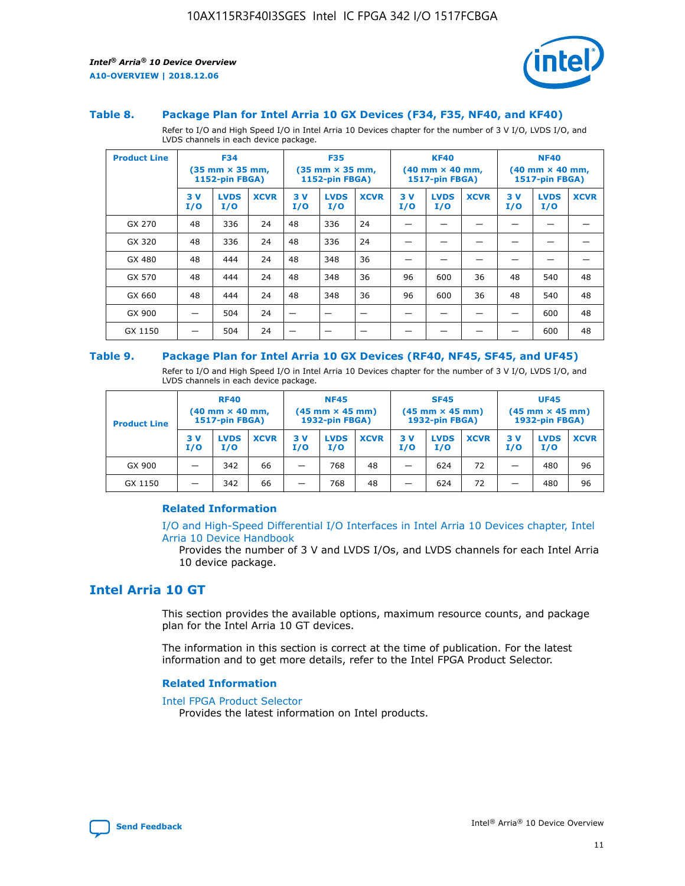

#### **Table 8. Package Plan for Intel Arria 10 GX Devices (F34, F35, NF40, and KF40)**

Refer to I/O and High Speed I/O in Intel Arria 10 Devices chapter for the number of 3 V I/O, LVDS I/O, and LVDS channels in each device package.

| <b>Product Line</b> | <b>F34</b><br>$(35 \text{ mm} \times 35 \text{ mm})$<br>1152-pin FBGA) |                    | <b>F35</b><br>$(35 \text{ mm} \times 35 \text{ mm})$<br><b>1152-pin FBGA)</b> |           | <b>KF40</b><br>$(40$ mm $\times$ 40 mm,<br>1517-pin FBGA) |             |           | <b>NF40</b><br>$(40$ mm $\times$ 40 mm,<br><b>1517-pin FBGA)</b> |             |            |                    |             |
|---------------------|------------------------------------------------------------------------|--------------------|-------------------------------------------------------------------------------|-----------|-----------------------------------------------------------|-------------|-----------|------------------------------------------------------------------|-------------|------------|--------------------|-------------|
|                     | 3V<br>I/O                                                              | <b>LVDS</b><br>I/O | <b>XCVR</b>                                                                   | 3V<br>I/O | <b>LVDS</b><br>I/O                                        | <b>XCVR</b> | 3V<br>I/O | <b>LVDS</b><br>I/O                                               | <b>XCVR</b> | 3 V<br>I/O | <b>LVDS</b><br>I/O | <b>XCVR</b> |
| GX 270              | 48                                                                     | 336                | 24                                                                            | 48        | 336                                                       | 24          |           |                                                                  |             |            |                    |             |
| GX 320              | 48                                                                     | 336                | 24                                                                            | 48        | 336                                                       | 24          |           |                                                                  |             |            |                    |             |
| GX 480              | 48                                                                     | 444                | 24                                                                            | 48        | 348                                                       | 36          |           |                                                                  |             |            |                    |             |
| GX 570              | 48                                                                     | 444                | 24                                                                            | 48        | 348                                                       | 36          | 96        | 600                                                              | 36          | 48         | 540                | 48          |
| GX 660              | 48                                                                     | 444                | 24                                                                            | 48        | 348                                                       | 36          | 96        | 600                                                              | 36          | 48         | 540                | 48          |
| GX 900              |                                                                        | 504                | 24                                                                            | -         |                                                           |             |           |                                                                  |             |            | 600                | 48          |
| GX 1150             |                                                                        | 504                | 24                                                                            |           |                                                           |             |           |                                                                  |             |            | 600                | 48          |

#### **Table 9. Package Plan for Intel Arria 10 GX Devices (RF40, NF45, SF45, and UF45)**

Refer to I/O and High Speed I/O in Intel Arria 10 Devices chapter for the number of 3 V I/O, LVDS I/O, and LVDS channels in each device package.

| <b>Product Line</b> | <b>RF40</b><br>$(40$ mm $\times$ 40 mm,<br>1517-pin FBGA) |                    |             | <b>NF45</b><br>$(45 \text{ mm} \times 45 \text{ mm})$<br><b>1932-pin FBGA)</b> |                    |             | <b>SF45</b><br>$(45 \text{ mm} \times 45 \text{ mm})$<br><b>1932-pin FBGA)</b> |                    |             | <b>UF45</b><br>$(45 \text{ mm} \times 45 \text{ mm})$<br><b>1932-pin FBGA)</b> |                    |             |
|---------------------|-----------------------------------------------------------|--------------------|-------------|--------------------------------------------------------------------------------|--------------------|-------------|--------------------------------------------------------------------------------|--------------------|-------------|--------------------------------------------------------------------------------|--------------------|-------------|
|                     | 3V<br>I/O                                                 | <b>LVDS</b><br>I/O | <b>XCVR</b> | 3 V<br>I/O                                                                     | <b>LVDS</b><br>I/O | <b>XCVR</b> | 3 V<br>I/O                                                                     | <b>LVDS</b><br>I/O | <b>XCVR</b> | 3V<br>I/O                                                                      | <b>LVDS</b><br>I/O | <b>XCVR</b> |
| GX 900              |                                                           | 342                | 66          | _                                                                              | 768                | 48          |                                                                                | 624                | 72          |                                                                                | 480                | 96          |
| GX 1150             |                                                           | 342                | 66          | _                                                                              | 768                | 48          |                                                                                | 624                | 72          |                                                                                | 480                | 96          |

#### **Related Information**

[I/O and High-Speed Differential I/O Interfaces in Intel Arria 10 Devices chapter, Intel](https://www.intel.com/content/www/us/en/programmable/documentation/sam1403482614086.html#sam1403482030321) [Arria 10 Device Handbook](https://www.intel.com/content/www/us/en/programmable/documentation/sam1403482614086.html#sam1403482030321)

Provides the number of 3 V and LVDS I/Os, and LVDS channels for each Intel Arria 10 device package.

## **Intel Arria 10 GT**

This section provides the available options, maximum resource counts, and package plan for the Intel Arria 10 GT devices.

The information in this section is correct at the time of publication. For the latest information and to get more details, refer to the Intel FPGA Product Selector.

#### **Related Information**

#### [Intel FPGA Product Selector](http://www.altera.com/products/selector/psg-selector.html)

Provides the latest information on Intel products.

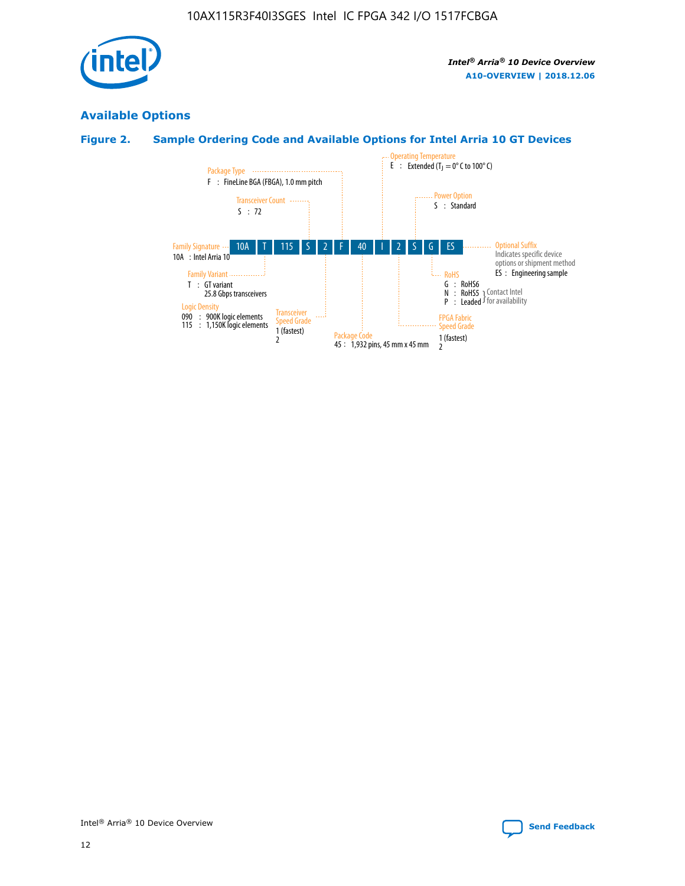

## **Available Options**

## **Figure 2. Sample Ordering Code and Available Options for Intel Arria 10 GT Devices**

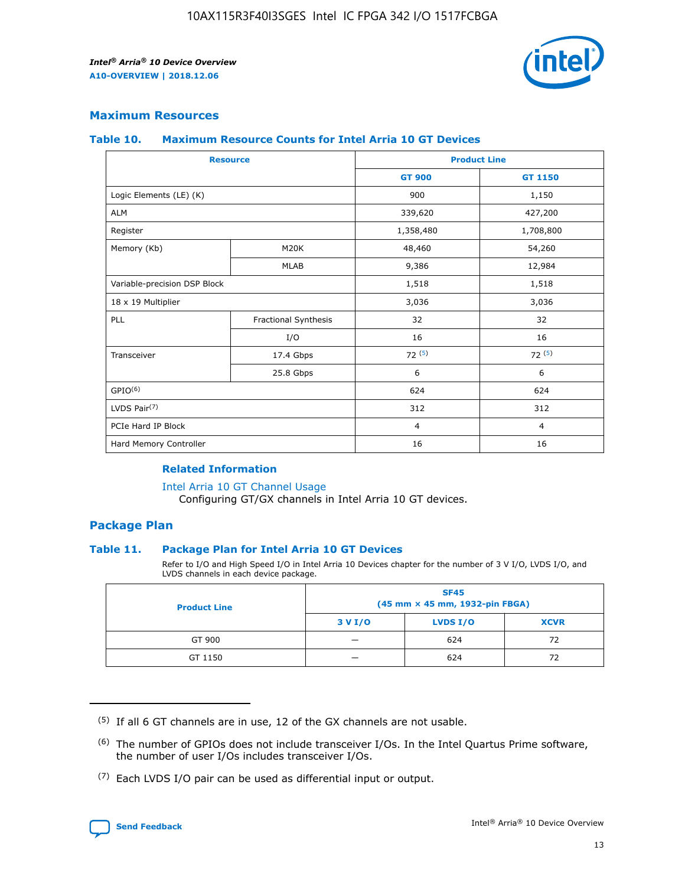

## **Maximum Resources**

#### **Table 10. Maximum Resource Counts for Intel Arria 10 GT Devices**

| <b>Resource</b>              |                      |                | <b>Product Line</b> |  |
|------------------------------|----------------------|----------------|---------------------|--|
|                              |                      | <b>GT 900</b>  | <b>GT 1150</b>      |  |
| Logic Elements (LE) (K)      |                      | 900            | 1,150               |  |
| <b>ALM</b>                   |                      | 339,620        | 427,200             |  |
| Register                     |                      | 1,358,480      | 1,708,800           |  |
| Memory (Kb)                  | M20K                 | 48,460         | 54,260              |  |
|                              | <b>MLAB</b>          | 9,386          | 12,984              |  |
| Variable-precision DSP Block |                      | 1,518          | 1,518               |  |
| 18 x 19 Multiplier           |                      | 3,036          | 3,036               |  |
| <b>PLL</b>                   | Fractional Synthesis | 32             | 32                  |  |
|                              | I/O                  | 16             | 16                  |  |
| Transceiver                  | 17.4 Gbps            | 72(5)          | 72(5)               |  |
|                              | 25.8 Gbps            | 6              | 6                   |  |
| GPIO <sup>(6)</sup>          |                      | 624            | 624                 |  |
| LVDS Pair $(7)$              |                      | 312            | 312                 |  |
| PCIe Hard IP Block           |                      | $\overline{4}$ | $\overline{4}$      |  |
| Hard Memory Controller       |                      | 16             | 16                  |  |

#### **Related Information**

#### [Intel Arria 10 GT Channel Usage](https://www.intel.com/content/www/us/en/programmable/documentation/nik1398707230472.html#nik1398707008178)

Configuring GT/GX channels in Intel Arria 10 GT devices.

## **Package Plan**

#### **Table 11. Package Plan for Intel Arria 10 GT Devices**

Refer to I/O and High Speed I/O in Intel Arria 10 Devices chapter for the number of 3 V I/O, LVDS I/O, and LVDS channels in each device package.

| <b>Product Line</b> | <b>SF45</b><br>(45 mm × 45 mm, 1932-pin FBGA) |                 |             |  |  |  |
|---------------------|-----------------------------------------------|-----------------|-------------|--|--|--|
|                     | 3 V I/O                                       | <b>LVDS I/O</b> | <b>XCVR</b> |  |  |  |
| GT 900              |                                               | 624             | 72          |  |  |  |
| GT 1150             |                                               | 624             | 72          |  |  |  |

<sup>(7)</sup> Each LVDS I/O pair can be used as differential input or output.



 $(5)$  If all 6 GT channels are in use, 12 of the GX channels are not usable.

<sup>(6)</sup> The number of GPIOs does not include transceiver I/Os. In the Intel Quartus Prime software, the number of user I/Os includes transceiver I/Os.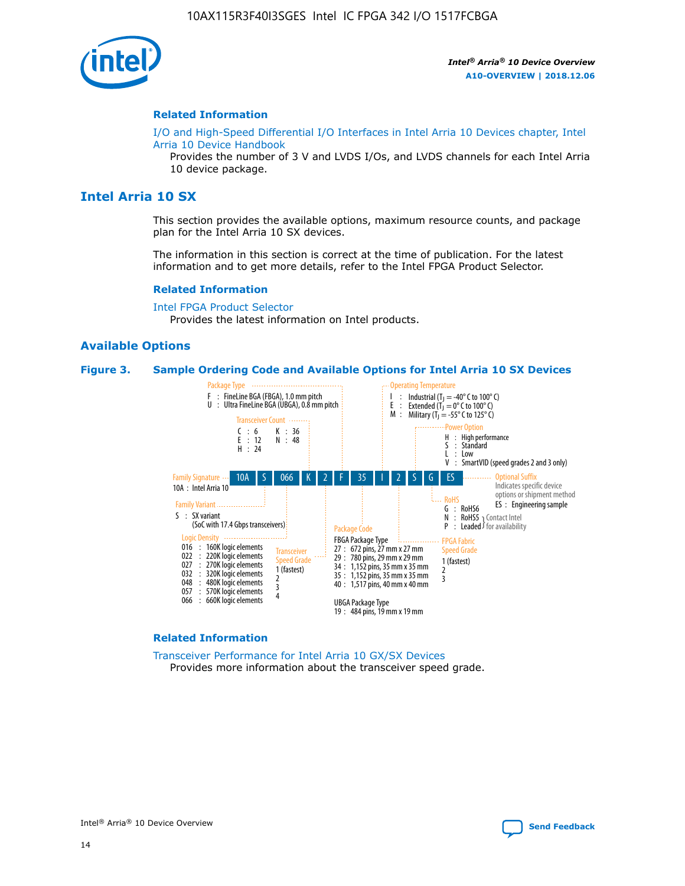

#### **Related Information**

[I/O and High-Speed Differential I/O Interfaces in Intel Arria 10 Devices chapter, Intel](https://www.intel.com/content/www/us/en/programmable/documentation/sam1403482614086.html#sam1403482030321) [Arria 10 Device Handbook](https://www.intel.com/content/www/us/en/programmable/documentation/sam1403482614086.html#sam1403482030321)

Provides the number of 3 V and LVDS I/Os, and LVDS channels for each Intel Arria 10 device package.

## **Intel Arria 10 SX**

This section provides the available options, maximum resource counts, and package plan for the Intel Arria 10 SX devices.

The information in this section is correct at the time of publication. For the latest information and to get more details, refer to the Intel FPGA Product Selector.

#### **Related Information**

[Intel FPGA Product Selector](http://www.altera.com/products/selector/psg-selector.html) Provides the latest information on Intel products.

#### **Available Options**

#### **Figure 3. Sample Ordering Code and Available Options for Intel Arria 10 SX Devices**



#### **Related Information**

[Transceiver Performance for Intel Arria 10 GX/SX Devices](https://www.intel.com/content/www/us/en/programmable/documentation/mcn1413182292568.html#mcn1413213965502) Provides more information about the transceiver speed grade.

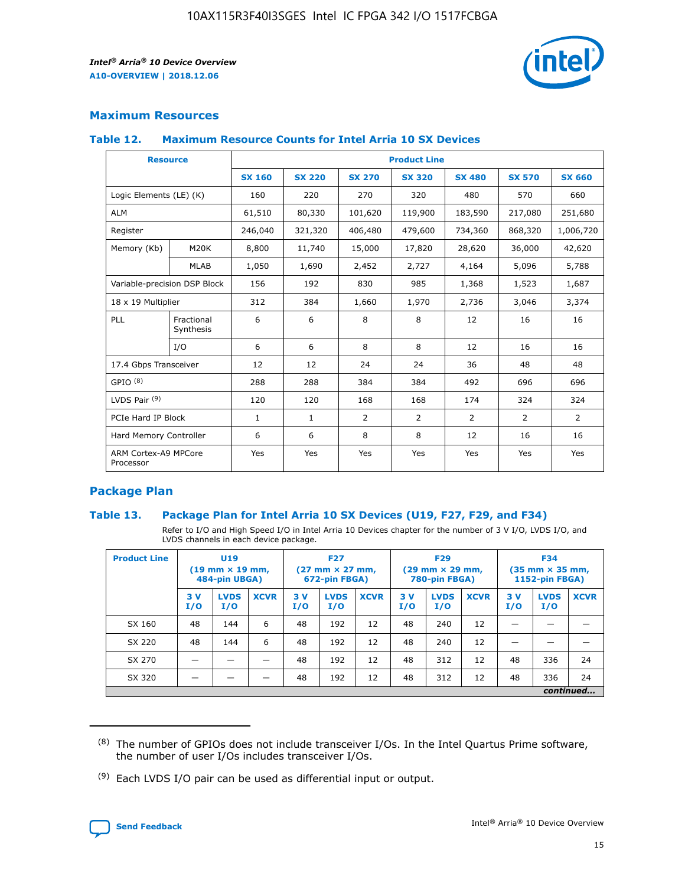

## **Maximum Resources**

#### **Table 12. Maximum Resource Counts for Intel Arria 10 SX Devices**

|                                   | <b>Resource</b>         | <b>Product Line</b> |               |                |                |                |                |                |  |  |  |
|-----------------------------------|-------------------------|---------------------|---------------|----------------|----------------|----------------|----------------|----------------|--|--|--|
|                                   |                         | <b>SX 160</b>       | <b>SX 220</b> | <b>SX 270</b>  | <b>SX 320</b>  | <b>SX 480</b>  | <b>SX 570</b>  | <b>SX 660</b>  |  |  |  |
| Logic Elements (LE) (K)           |                         | 160                 | 220           | 270            | 320            | 480            | 570            | 660            |  |  |  |
| <b>ALM</b>                        |                         | 61,510              | 80,330        | 101,620        | 119,900        | 183,590        | 217,080        | 251,680        |  |  |  |
| Register                          |                         | 246,040             | 321,320       | 406,480        | 479,600        | 734,360        | 868,320        | 1,006,720      |  |  |  |
| Memory (Kb)                       | M <sub>20</sub> K       | 8,800               | 11,740        | 15,000         | 17,820         | 28,620         | 36,000         | 42,620         |  |  |  |
|                                   | <b>MLAB</b>             | 1,050               | 1,690         | 2,452          | 2,727          | 4,164          | 5,096          | 5,788          |  |  |  |
| Variable-precision DSP Block      |                         | 156                 | 192           | 830            | 985            | 1,368          | 1,523          | 1,687          |  |  |  |
| 18 x 19 Multiplier                |                         | 312                 | 384           | 1,660          | 1,970          | 2,736          | 3,046          | 3,374          |  |  |  |
| <b>PLL</b>                        | Fractional<br>Synthesis | 6                   | 6             | 8              | 8              | 12             | 16             | 16             |  |  |  |
|                                   | I/O                     | 6                   | 6             | 8              | 8              | 12             | 16             | 16             |  |  |  |
| 17.4 Gbps Transceiver             |                         | 12                  | 12            | 24             | 24             | 36             | 48             | 48             |  |  |  |
| GPIO <sup>(8)</sup>               |                         | 288                 | 288           | 384            | 384            | 492            | 696            | 696            |  |  |  |
| LVDS Pair $(9)$                   |                         | 120                 | 120           | 168            | 168            | 174            | 324            | 324            |  |  |  |
| PCIe Hard IP Block                |                         | $\mathbf{1}$        | $\mathbf{1}$  | $\overline{2}$ | $\overline{2}$ | $\overline{2}$ | $\overline{2}$ | $\overline{2}$ |  |  |  |
| Hard Memory Controller            |                         | 6                   | 6             | 8              | 8              | 12             | 16             | 16             |  |  |  |
| ARM Cortex-A9 MPCore<br>Processor |                         | Yes                 | Yes           | Yes            | Yes            | Yes            | Yes            | Yes            |  |  |  |

## **Package Plan**

#### **Table 13. Package Plan for Intel Arria 10 SX Devices (U19, F27, F29, and F34)**

Refer to I/O and High Speed I/O in Intel Arria 10 Devices chapter for the number of 3 V I/O, LVDS I/O, and LVDS channels in each device package.

| <b>Product Line</b> | U19<br>$(19 \text{ mm} \times 19 \text{ mm})$<br>484-pin UBGA) |                    |             | <b>F27</b><br>$(27 \text{ mm} \times 27 \text{ mm})$ .<br>672-pin FBGA) |                    | <b>F29</b><br>$(29 \text{ mm} \times 29 \text{ mm})$ .<br>780-pin FBGA) |            |                    | <b>F34</b><br>$(35 \text{ mm} \times 35 \text{ mm})$<br><b>1152-pin FBGA)</b> |           |                    |             |
|---------------------|----------------------------------------------------------------|--------------------|-------------|-------------------------------------------------------------------------|--------------------|-------------------------------------------------------------------------|------------|--------------------|-------------------------------------------------------------------------------|-----------|--------------------|-------------|
|                     | 3V<br>I/O                                                      | <b>LVDS</b><br>I/O | <b>XCVR</b> | 3V<br>I/O                                                               | <b>LVDS</b><br>I/O | <b>XCVR</b>                                                             | 3 V<br>I/O | <b>LVDS</b><br>I/O | <b>XCVR</b>                                                                   | 3V<br>I/O | <b>LVDS</b><br>I/O | <b>XCVR</b> |
| SX 160              | 48                                                             | 144                | 6           | 48                                                                      | 192                | 12                                                                      | 48         | 240                | 12                                                                            |           |                    |             |
| SX 220              | 48                                                             | 144                | 6           | 48                                                                      | 192                | 12                                                                      | 48         | 240                | 12                                                                            |           |                    |             |
| SX 270              |                                                                |                    |             | 48                                                                      | 192                | 12                                                                      | 48         | 312                | 12                                                                            | 48        | 336                | 24          |
| SX 320              |                                                                |                    |             | 48                                                                      | 192                | 12                                                                      | 48         | 312                | 12                                                                            | 48        | 336                | 24          |
|                     |                                                                |                    |             |                                                                         |                    |                                                                         |            |                    |                                                                               |           |                    | continued   |

 $(8)$  The number of GPIOs does not include transceiver I/Os. In the Intel Quartus Prime software, the number of user I/Os includes transceiver I/Os.

 $(9)$  Each LVDS I/O pair can be used as differential input or output.

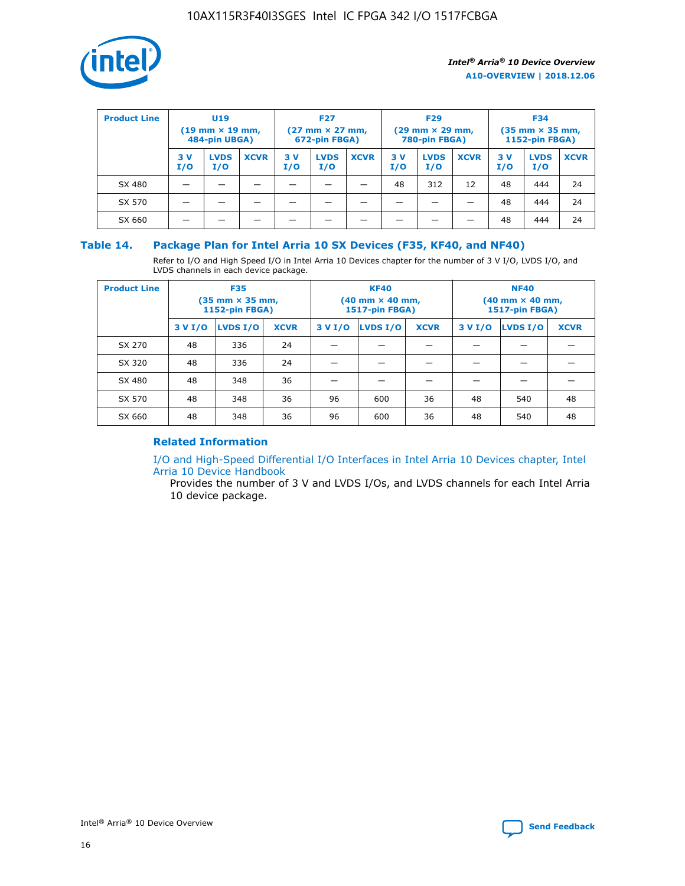

| <b>Product Line</b> | U <sub>19</sub><br>$(19 \text{ mm} \times 19 \text{ mm})$<br>484-pin UBGA) |                    | <b>F27</b><br>$(27 \text{ mm} \times 27 \text{ mm})$<br>672-pin FBGA) |           | <b>F29</b><br>$(29 \text{ mm} \times 29 \text{ mm})$<br>780-pin FBGA) |             |           | <b>F34</b><br>$(35 \text{ mm} \times 35 \text{ mm})$<br><b>1152-pin FBGA)</b> |             |           |                    |             |
|---------------------|----------------------------------------------------------------------------|--------------------|-----------------------------------------------------------------------|-----------|-----------------------------------------------------------------------|-------------|-----------|-------------------------------------------------------------------------------|-------------|-----------|--------------------|-------------|
|                     | 3 V<br>I/O                                                                 | <b>LVDS</b><br>I/O | <b>XCVR</b>                                                           | 3V<br>I/O | <b>LVDS</b><br>I/O                                                    | <b>XCVR</b> | 3V<br>I/O | <b>LVDS</b><br>I/O                                                            | <b>XCVR</b> | 3V<br>I/O | <b>LVDS</b><br>I/O | <b>XCVR</b> |
| SX 480              |                                                                            |                    |                                                                       |           |                                                                       |             | 48        | 312                                                                           | 12          | 48        | 444                | 24          |
| SX 570              |                                                                            |                    |                                                                       |           |                                                                       |             |           |                                                                               |             | 48        | 444                | 24          |
| SX 660              |                                                                            |                    |                                                                       |           |                                                                       |             |           |                                                                               |             | 48        | 444                | 24          |

## **Table 14. Package Plan for Intel Arria 10 SX Devices (F35, KF40, and NF40)**

Refer to I/O and High Speed I/O in Intel Arria 10 Devices chapter for the number of 3 V I/O, LVDS I/O, and LVDS channels in each device package.

| <b>Product Line</b> | <b>F35</b><br>$(35 \text{ mm} \times 35 \text{ mm})$<br><b>1152-pin FBGA)</b> |          |             |                                           | <b>KF40</b><br>(40 mm × 40 mm,<br>1517-pin FBGA) |    | <b>NF40</b><br>$(40 \text{ mm} \times 40 \text{ mm})$<br>1517-pin FBGA) |          |             |  |
|---------------------|-------------------------------------------------------------------------------|----------|-------------|-------------------------------------------|--------------------------------------------------|----|-------------------------------------------------------------------------|----------|-------------|--|
|                     | 3 V I/O                                                                       | LVDS I/O | <b>XCVR</b> | <b>LVDS I/O</b><br><b>XCVR</b><br>3 V I/O |                                                  |    | 3 V I/O                                                                 | LVDS I/O | <b>XCVR</b> |  |
| SX 270              | 48                                                                            | 336      | 24          |                                           |                                                  |    |                                                                         |          |             |  |
| SX 320              | 48                                                                            | 336      | 24          |                                           |                                                  |    |                                                                         |          |             |  |
| SX 480              | 48                                                                            | 348      | 36          |                                           |                                                  |    |                                                                         |          |             |  |
| SX 570              | 48                                                                            | 348      | 36          | 96                                        | 600                                              | 36 | 48                                                                      | 540      | 48          |  |
| SX 660              | 48                                                                            | 348      | 36          | 96                                        | 600                                              | 36 | 48                                                                      | 540      | 48          |  |

## **Related Information**

[I/O and High-Speed Differential I/O Interfaces in Intel Arria 10 Devices chapter, Intel](https://www.intel.com/content/www/us/en/programmable/documentation/sam1403482614086.html#sam1403482030321) [Arria 10 Device Handbook](https://www.intel.com/content/www/us/en/programmable/documentation/sam1403482614086.html#sam1403482030321)

Provides the number of 3 V and LVDS I/Os, and LVDS channels for each Intel Arria 10 device package.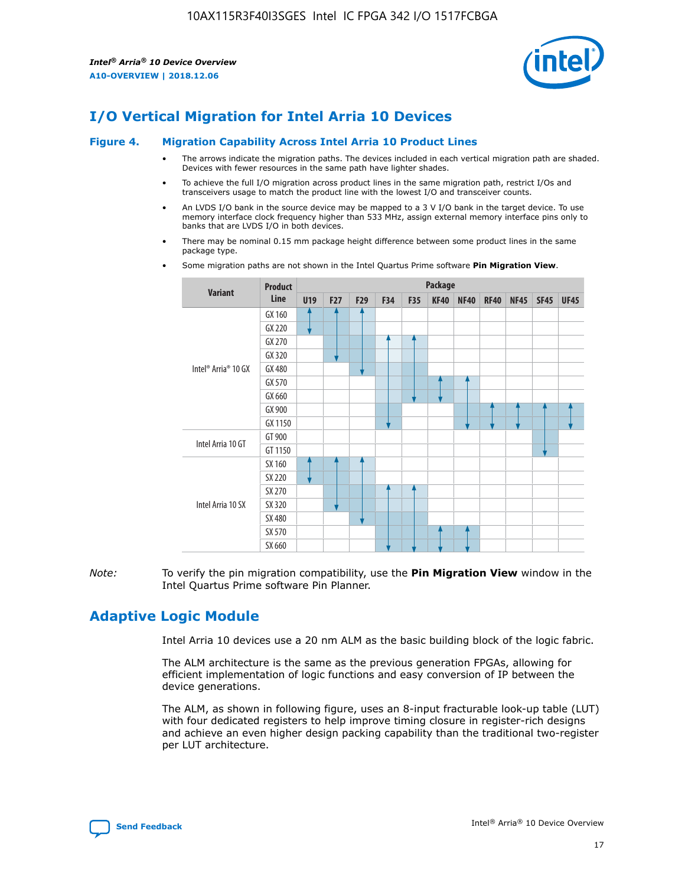

# **I/O Vertical Migration for Intel Arria 10 Devices**

#### **Figure 4. Migration Capability Across Intel Arria 10 Product Lines**

- The arrows indicate the migration paths. The devices included in each vertical migration path are shaded. Devices with fewer resources in the same path have lighter shades.
- To achieve the full I/O migration across product lines in the same migration path, restrict I/Os and transceivers usage to match the product line with the lowest I/O and transceiver counts.
- An LVDS I/O bank in the source device may be mapped to a 3 V I/O bank in the target device. To use memory interface clock frequency higher than 533 MHz, assign external memory interface pins only to banks that are LVDS I/O in both devices.
- There may be nominal 0.15 mm package height difference between some product lines in the same package type.
	- **Variant Product Line Package U19 F27 F29 F34 F35 KF40 NF40 RF40 NF45 SF45 UF45** Intel® Arria® 10 GX GX 160 GX 220 GX 270 GX 320 GX 480 GX 570 GX 660 GX 900 GX 1150 Intel Arria 10 GT GT 900 GT 1150 Intel Arria 10 SX SX 160 SX 220 SX 270 SX 320 SX 480 SX 570 SX 660
- Some migration paths are not shown in the Intel Quartus Prime software **Pin Migration View**.

*Note:* To verify the pin migration compatibility, use the **Pin Migration View** window in the Intel Quartus Prime software Pin Planner.

# **Adaptive Logic Module**

Intel Arria 10 devices use a 20 nm ALM as the basic building block of the logic fabric.

The ALM architecture is the same as the previous generation FPGAs, allowing for efficient implementation of logic functions and easy conversion of IP between the device generations.

The ALM, as shown in following figure, uses an 8-input fracturable look-up table (LUT) with four dedicated registers to help improve timing closure in register-rich designs and achieve an even higher design packing capability than the traditional two-register per LUT architecture.

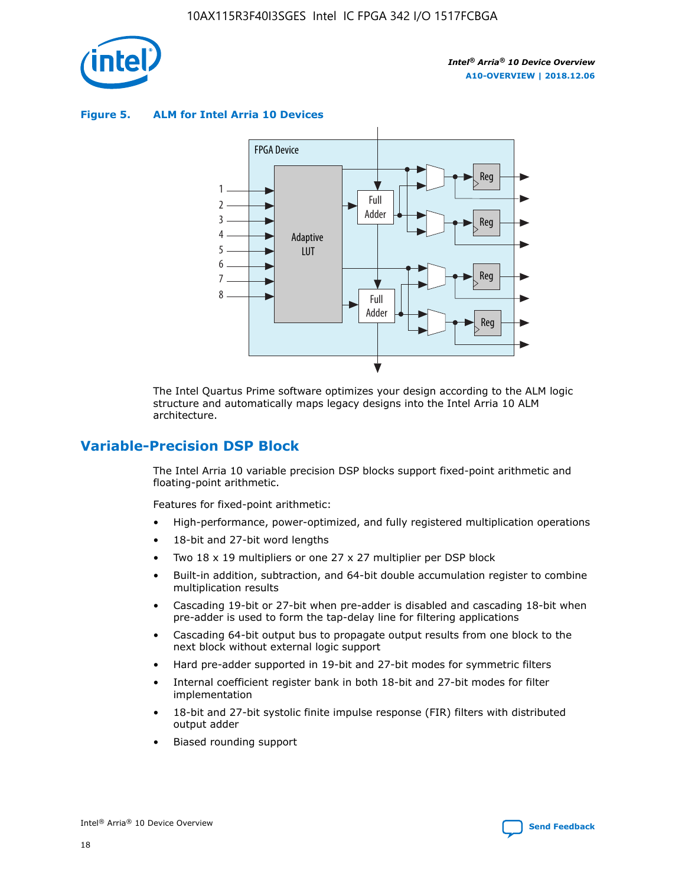

**Figure 5. ALM for Intel Arria 10 Devices**



The Intel Quartus Prime software optimizes your design according to the ALM logic structure and automatically maps legacy designs into the Intel Arria 10 ALM architecture.

## **Variable-Precision DSP Block**

The Intel Arria 10 variable precision DSP blocks support fixed-point arithmetic and floating-point arithmetic.

Features for fixed-point arithmetic:

- High-performance, power-optimized, and fully registered multiplication operations
- 18-bit and 27-bit word lengths
- Two 18 x 19 multipliers or one 27 x 27 multiplier per DSP block
- Built-in addition, subtraction, and 64-bit double accumulation register to combine multiplication results
- Cascading 19-bit or 27-bit when pre-adder is disabled and cascading 18-bit when pre-adder is used to form the tap-delay line for filtering applications
- Cascading 64-bit output bus to propagate output results from one block to the next block without external logic support
- Hard pre-adder supported in 19-bit and 27-bit modes for symmetric filters
- Internal coefficient register bank in both 18-bit and 27-bit modes for filter implementation
- 18-bit and 27-bit systolic finite impulse response (FIR) filters with distributed output adder
- Biased rounding support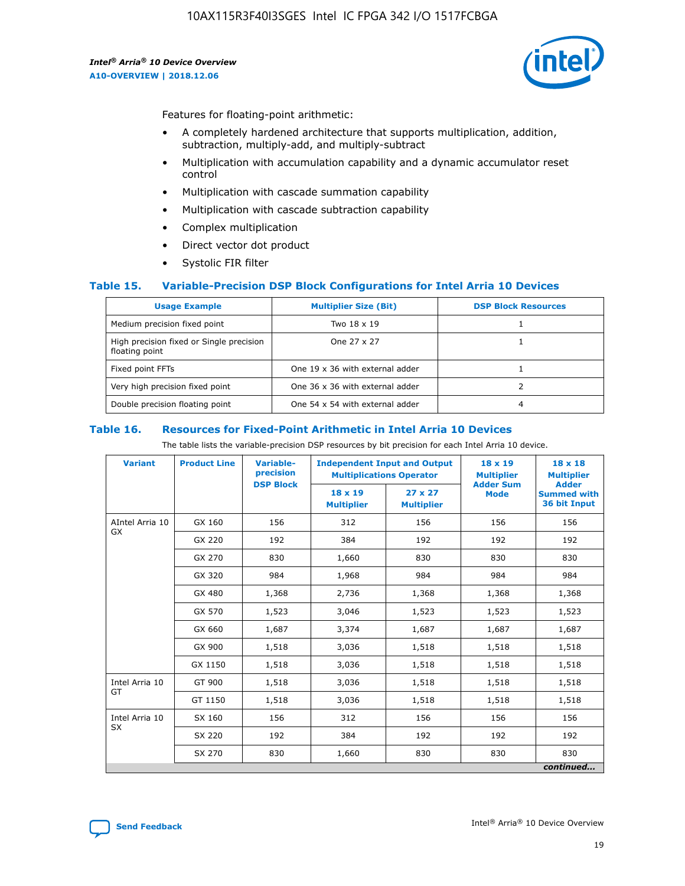

Features for floating-point arithmetic:

- A completely hardened architecture that supports multiplication, addition, subtraction, multiply-add, and multiply-subtract
- Multiplication with accumulation capability and a dynamic accumulator reset control
- Multiplication with cascade summation capability
- Multiplication with cascade subtraction capability
- Complex multiplication
- Direct vector dot product
- Systolic FIR filter

#### **Table 15. Variable-Precision DSP Block Configurations for Intel Arria 10 Devices**

| <b>Usage Example</b>                                       | <b>Multiplier Size (Bit)</b>    | <b>DSP Block Resources</b> |
|------------------------------------------------------------|---------------------------------|----------------------------|
| Medium precision fixed point                               | Two 18 x 19                     |                            |
| High precision fixed or Single precision<br>floating point | One 27 x 27                     |                            |
| Fixed point FFTs                                           | One 19 x 36 with external adder |                            |
| Very high precision fixed point                            | One 36 x 36 with external adder |                            |
| Double precision floating point                            | One 54 x 54 with external adder | 4                          |

#### **Table 16. Resources for Fixed-Point Arithmetic in Intel Arria 10 Devices**

The table lists the variable-precision DSP resources by bit precision for each Intel Arria 10 device.

| <b>Variant</b>  | <b>Product Line</b> | Variable-<br>precision<br><b>DSP Block</b> | <b>Independent Input and Output</b><br><b>Multiplications Operator</b> |                                     | 18 x 19<br><b>Multiplier</b><br><b>Adder Sum</b> | $18 \times 18$<br><b>Multiplier</b><br><b>Adder</b> |
|-----------------|---------------------|--------------------------------------------|------------------------------------------------------------------------|-------------------------------------|--------------------------------------------------|-----------------------------------------------------|
|                 |                     |                                            | 18 x 19<br><b>Multiplier</b>                                           | $27 \times 27$<br><b>Multiplier</b> | <b>Mode</b>                                      | <b>Summed with</b><br>36 bit Input                  |
| AIntel Arria 10 | GX 160              | 156                                        | 312                                                                    | 156                                 | 156                                              | 156                                                 |
| GX              | GX 220              | 192                                        | 384                                                                    | 192                                 | 192                                              | 192                                                 |
|                 | GX 270              | 830                                        | 1,660                                                                  | 830                                 | 830                                              | 830                                                 |
|                 | GX 320              | 984                                        | 1,968                                                                  | 984                                 | 984                                              | 984                                                 |
|                 | GX 480              | 1,368                                      | 2,736                                                                  | 1,368                               | 1,368                                            | 1,368                                               |
|                 | GX 570              | 1,523                                      | 3,046                                                                  | 1,523                               | 1,523                                            | 1,523                                               |
|                 | GX 660              | 1,687                                      | 3,374                                                                  | 1,687                               | 1,687                                            | 1,687                                               |
|                 | GX 900              | 1,518                                      | 3,036                                                                  | 1,518                               | 1,518                                            | 1,518                                               |
|                 | GX 1150             | 1,518                                      | 3,036                                                                  | 1,518                               | 1,518                                            | 1,518                                               |
| Intel Arria 10  | GT 900              | 1,518                                      | 3,036                                                                  | 1,518                               | 1,518                                            | 1,518                                               |
| GT              | GT 1150             | 1,518                                      | 3,036                                                                  | 1,518                               | 1,518                                            | 1,518                                               |
| Intel Arria 10  | SX 160              | 156                                        | 312                                                                    | 156                                 | 156                                              | 156                                                 |
| <b>SX</b>       | SX 220              | 192                                        | 384                                                                    | 192                                 | 192                                              | 192                                                 |
|                 | SX 270              | 830                                        | 1,660                                                                  | 830                                 | 830                                              | 830                                                 |
|                 |                     |                                            |                                                                        |                                     |                                                  | continued                                           |

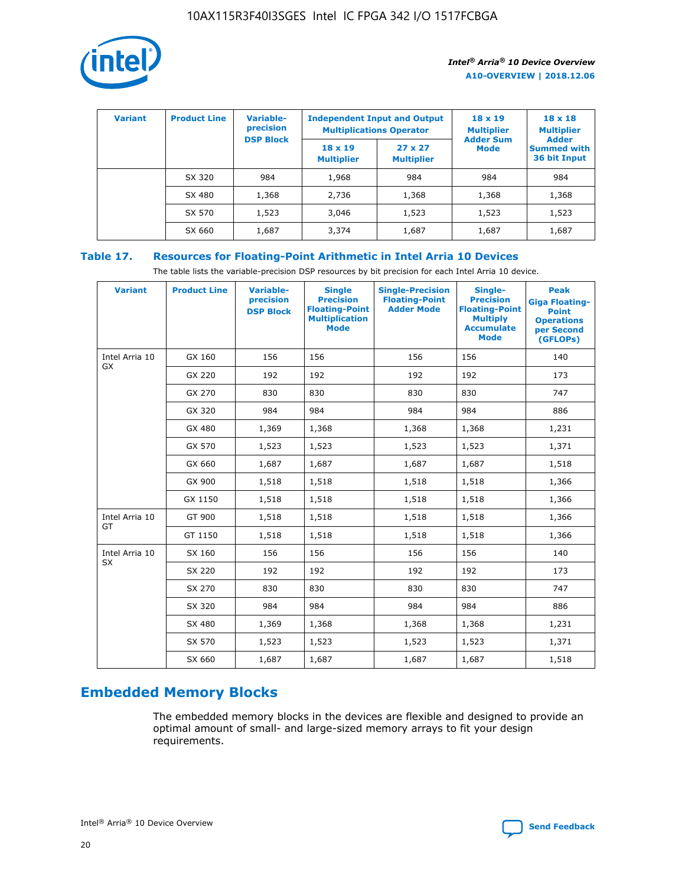

| <b>Variant</b> | <b>Product Line</b> | <b>Variable-</b><br>precision<br><b>DSP Block</b> | <b>Independent Input and Output</b><br><b>Multiplications Operator</b> |                                     | $18 \times 19$<br><b>Multiplier</b><br><b>Adder Sum</b> | $18 \times 18$<br><b>Multiplier</b><br><b>Adder</b> |  |
|----------------|---------------------|---------------------------------------------------|------------------------------------------------------------------------|-------------------------------------|---------------------------------------------------------|-----------------------------------------------------|--|
|                |                     |                                                   | $18 \times 19$<br><b>Multiplier</b>                                    | $27 \times 27$<br><b>Multiplier</b> | <b>Mode</b>                                             | <b>Summed with</b><br>36 bit Input                  |  |
|                | SX 320              | 984                                               | 1,968                                                                  | 984                                 | 984                                                     | 984                                                 |  |
|                | SX 480              | 1,368                                             | 2,736                                                                  | 1,368                               | 1,368                                                   | 1,368                                               |  |
|                | SX 570              | 1,523                                             | 3,046                                                                  | 1,523                               | 1,523                                                   | 1,523                                               |  |
|                | SX 660              | 1,687                                             | 3,374                                                                  | 1,687                               | 1,687                                                   | 1,687                                               |  |

## **Table 17. Resources for Floating-Point Arithmetic in Intel Arria 10 Devices**

The table lists the variable-precision DSP resources by bit precision for each Intel Arria 10 device.

| <b>Variant</b>              | <b>Product Line</b> | <b>Variable-</b><br>precision<br><b>DSP Block</b> | <b>Single</b><br><b>Precision</b><br><b>Floating-Point</b><br><b>Multiplication</b><br><b>Mode</b> | <b>Single-Precision</b><br><b>Floating-Point</b><br><b>Adder Mode</b> | Single-<br><b>Precision</b><br><b>Floating-Point</b><br><b>Multiply</b><br><b>Accumulate</b><br><b>Mode</b> | <b>Peak</b><br><b>Giga Floating-</b><br><b>Point</b><br><b>Operations</b><br>per Second<br>(GFLOPs) |
|-----------------------------|---------------------|---------------------------------------------------|----------------------------------------------------------------------------------------------------|-----------------------------------------------------------------------|-------------------------------------------------------------------------------------------------------------|-----------------------------------------------------------------------------------------------------|
| Intel Arria 10<br>GX        | GX 160              | 156                                               | 156                                                                                                | 156                                                                   | 156                                                                                                         | 140                                                                                                 |
|                             | GX 220              | 192                                               | 192                                                                                                | 192                                                                   | 192                                                                                                         | 173                                                                                                 |
|                             | GX 270              | 830                                               | 830                                                                                                | 830                                                                   | 830                                                                                                         | 747                                                                                                 |
|                             | GX 320              | 984                                               | 984                                                                                                | 984                                                                   | 984                                                                                                         | 886                                                                                                 |
|                             | GX 480              | 1,369                                             | 1,368                                                                                              | 1,368                                                                 | 1,368                                                                                                       | 1,231                                                                                               |
|                             | GX 570              | 1,523                                             | 1,523                                                                                              | 1,523                                                                 | 1,523                                                                                                       | 1,371                                                                                               |
|                             | GX 660              | 1,687                                             | 1,687                                                                                              | 1,687                                                                 | 1,687                                                                                                       | 1,518                                                                                               |
|                             | GX 900              | 1,518                                             | 1,518                                                                                              | 1,518                                                                 | 1,518                                                                                                       | 1,366                                                                                               |
|                             | GX 1150             | 1,518                                             | 1,518                                                                                              | 1,518                                                                 | 1,518                                                                                                       | 1,366                                                                                               |
| Intel Arria 10              | GT 900              | 1,518                                             | 1,518                                                                                              | 1,518                                                                 | 1,518                                                                                                       | 1,366                                                                                               |
| GT                          | GT 1150             | 1,518                                             | 1,518                                                                                              | 1,518                                                                 | 1,518                                                                                                       | 1,366                                                                                               |
| Intel Arria 10<br><b>SX</b> | SX 160              | 156                                               | 156                                                                                                | 156                                                                   | 156                                                                                                         | 140                                                                                                 |
|                             | SX 220              | 192                                               | 192                                                                                                | 192                                                                   | 192                                                                                                         | 173                                                                                                 |
|                             | SX 270              | 830                                               | 830                                                                                                | 830                                                                   | 830                                                                                                         | 747                                                                                                 |
|                             | SX 320              | 984                                               | 984                                                                                                | 984                                                                   | 984                                                                                                         | 886                                                                                                 |
|                             | SX 480              | 1,369                                             | 1,368                                                                                              | 1,368                                                                 | 1,368                                                                                                       | 1,231                                                                                               |
|                             | SX 570              | 1,523                                             | 1,523                                                                                              | 1,523                                                                 | 1,523                                                                                                       | 1,371                                                                                               |
|                             | SX 660              | 1,687                                             | 1,687                                                                                              | 1,687                                                                 | 1,687                                                                                                       | 1,518                                                                                               |

# **Embedded Memory Blocks**

The embedded memory blocks in the devices are flexible and designed to provide an optimal amount of small- and large-sized memory arrays to fit your design requirements.

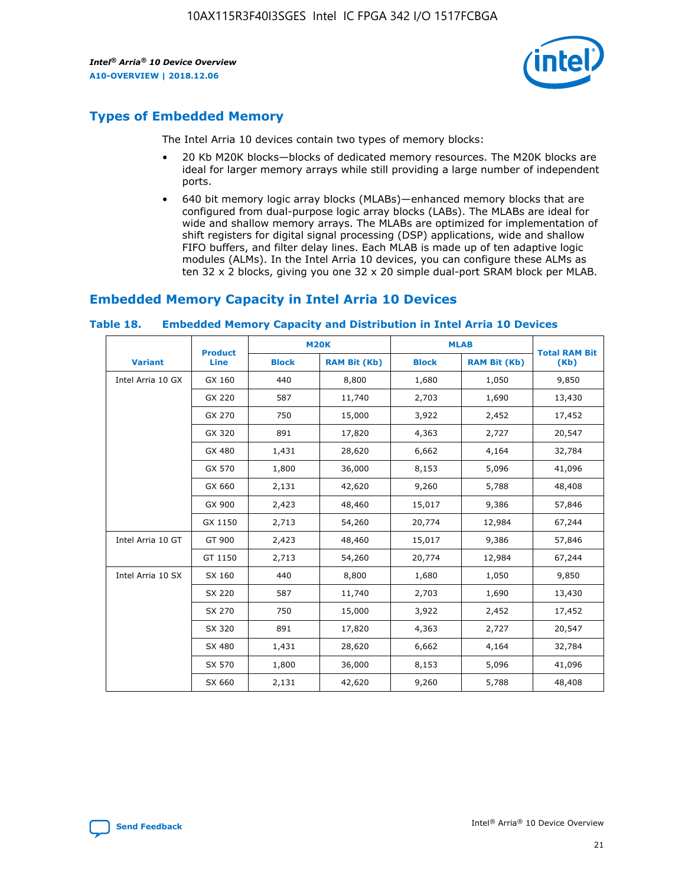

# **Types of Embedded Memory**

The Intel Arria 10 devices contain two types of memory blocks:

- 20 Kb M20K blocks—blocks of dedicated memory resources. The M20K blocks are ideal for larger memory arrays while still providing a large number of independent ports.
- 640 bit memory logic array blocks (MLABs)—enhanced memory blocks that are configured from dual-purpose logic array blocks (LABs). The MLABs are ideal for wide and shallow memory arrays. The MLABs are optimized for implementation of shift registers for digital signal processing (DSP) applications, wide and shallow FIFO buffers, and filter delay lines. Each MLAB is made up of ten adaptive logic modules (ALMs). In the Intel Arria 10 devices, you can configure these ALMs as ten 32 x 2 blocks, giving you one 32 x 20 simple dual-port SRAM block per MLAB.

## **Embedded Memory Capacity in Intel Arria 10 Devices**

|                   | <b>Product</b> |              | <b>M20K</b>         |              | <b>MLAB</b>         | <b>Total RAM Bit</b> |
|-------------------|----------------|--------------|---------------------|--------------|---------------------|----------------------|
| <b>Variant</b>    | Line           | <b>Block</b> | <b>RAM Bit (Kb)</b> | <b>Block</b> | <b>RAM Bit (Kb)</b> | (Kb)                 |
| Intel Arria 10 GX | GX 160         | 440          | 8,800               | 1,680        | 1,050               | 9,850                |
|                   | GX 220         | 587          | 11,740              | 2,703        | 1,690               | 13,430               |
|                   | GX 270         | 750          | 15,000              | 3,922        | 2,452               | 17,452               |
|                   | GX 320         | 891          | 17,820              | 4,363        | 2,727               | 20,547               |
|                   | GX 480         | 1,431        | 28,620              | 6,662        | 4,164               | 32,784               |
|                   | GX 570         | 1,800        | 36,000              | 8,153        | 5,096               | 41,096               |
|                   | GX 660         | 2,131        | 42,620              | 9,260        | 5,788               | 48,408               |
|                   | GX 900         | 2,423        | 48,460              | 15,017       | 9,386               | 57,846               |
|                   | GX 1150        | 2,713        | 54,260              | 20,774       | 12,984              | 67,244               |
| Intel Arria 10 GT | GT 900         | 2,423        | 48,460              | 15,017       | 9,386               | 57,846               |
|                   | GT 1150        | 2,713        | 54,260              | 20,774       | 12,984              | 67,244               |
| Intel Arria 10 SX | SX 160         | 440          | 8,800               | 1,680        | 1,050               | 9,850                |
|                   | SX 220         | 587          | 11,740              | 2,703        | 1,690               | 13,430               |
|                   | SX 270         | 750          | 15,000              | 3,922        | 2,452               | 17,452               |
|                   | SX 320         | 891          | 17,820              | 4,363        | 2,727               | 20,547               |
|                   | SX 480         | 1,431        | 28,620              | 6,662        | 4,164               | 32,784               |
|                   | SX 570         | 1,800        | 36,000              | 8,153        | 5,096               | 41,096               |
|                   | SX 660         | 2,131        | 42,620              | 9,260        | 5,788               | 48,408               |

#### **Table 18. Embedded Memory Capacity and Distribution in Intel Arria 10 Devices**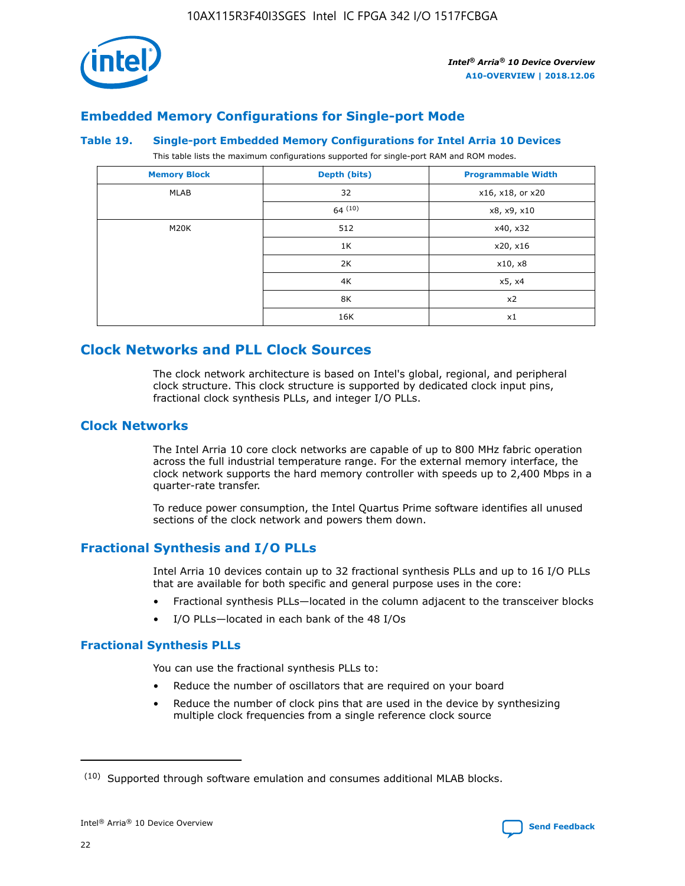

## **Embedded Memory Configurations for Single-port Mode**

#### **Table 19. Single-port Embedded Memory Configurations for Intel Arria 10 Devices**

This table lists the maximum configurations supported for single-port RAM and ROM modes.

| <b>Memory Block</b> | Depth (bits) | <b>Programmable Width</b> |
|---------------------|--------------|---------------------------|
| MLAB                | 32           | x16, x18, or x20          |
|                     | 64(10)       | x8, x9, x10               |
| M20K                | 512          | x40, x32                  |
|                     | 1K           | x20, x16                  |
|                     | 2K           | x10, x8                   |
|                     | 4K           | x5, x4                    |
|                     | 8K           | x2                        |
|                     | 16K          | x1                        |

# **Clock Networks and PLL Clock Sources**

The clock network architecture is based on Intel's global, regional, and peripheral clock structure. This clock structure is supported by dedicated clock input pins, fractional clock synthesis PLLs, and integer I/O PLLs.

## **Clock Networks**

The Intel Arria 10 core clock networks are capable of up to 800 MHz fabric operation across the full industrial temperature range. For the external memory interface, the clock network supports the hard memory controller with speeds up to 2,400 Mbps in a quarter-rate transfer.

To reduce power consumption, the Intel Quartus Prime software identifies all unused sections of the clock network and powers them down.

## **Fractional Synthesis and I/O PLLs**

Intel Arria 10 devices contain up to 32 fractional synthesis PLLs and up to 16 I/O PLLs that are available for both specific and general purpose uses in the core:

- Fractional synthesis PLLs—located in the column adjacent to the transceiver blocks
- I/O PLLs—located in each bank of the 48 I/Os

## **Fractional Synthesis PLLs**

You can use the fractional synthesis PLLs to:

- Reduce the number of oscillators that are required on your board
- Reduce the number of clock pins that are used in the device by synthesizing multiple clock frequencies from a single reference clock source

<sup>(10)</sup> Supported through software emulation and consumes additional MLAB blocks.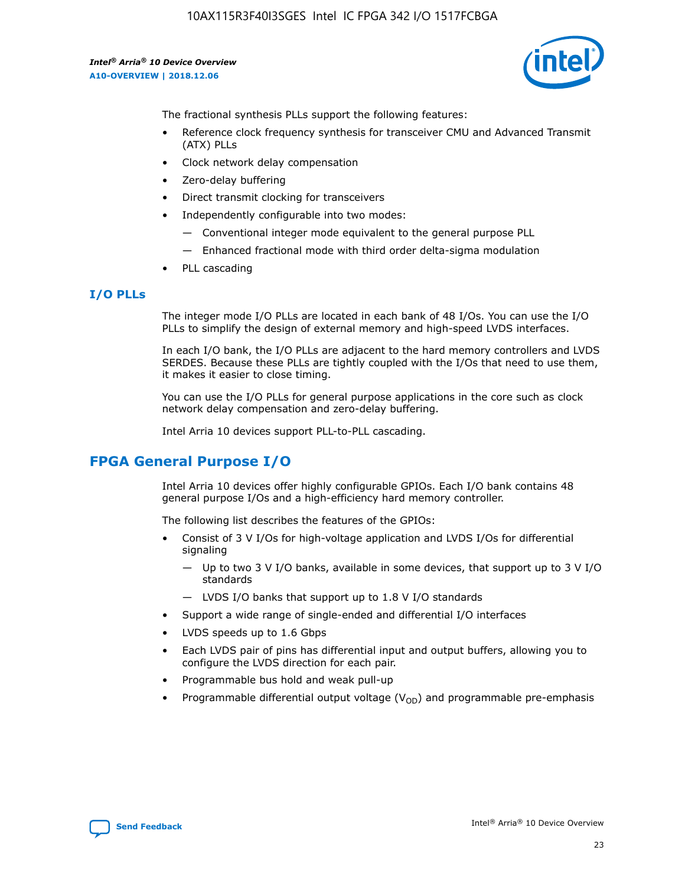

The fractional synthesis PLLs support the following features:

- Reference clock frequency synthesis for transceiver CMU and Advanced Transmit (ATX) PLLs
- Clock network delay compensation
- Zero-delay buffering
- Direct transmit clocking for transceivers
- Independently configurable into two modes:
	- Conventional integer mode equivalent to the general purpose PLL
	- Enhanced fractional mode with third order delta-sigma modulation
- PLL cascading

## **I/O PLLs**

The integer mode I/O PLLs are located in each bank of 48 I/Os. You can use the I/O PLLs to simplify the design of external memory and high-speed LVDS interfaces.

In each I/O bank, the I/O PLLs are adjacent to the hard memory controllers and LVDS SERDES. Because these PLLs are tightly coupled with the I/Os that need to use them, it makes it easier to close timing.

You can use the I/O PLLs for general purpose applications in the core such as clock network delay compensation and zero-delay buffering.

Intel Arria 10 devices support PLL-to-PLL cascading.

# **FPGA General Purpose I/O**

Intel Arria 10 devices offer highly configurable GPIOs. Each I/O bank contains 48 general purpose I/Os and a high-efficiency hard memory controller.

The following list describes the features of the GPIOs:

- Consist of 3 V I/Os for high-voltage application and LVDS I/Os for differential signaling
	- Up to two 3 V I/O banks, available in some devices, that support up to 3 V I/O standards
	- LVDS I/O banks that support up to 1.8 V I/O standards
- Support a wide range of single-ended and differential I/O interfaces
- LVDS speeds up to 1.6 Gbps
- Each LVDS pair of pins has differential input and output buffers, allowing you to configure the LVDS direction for each pair.
- Programmable bus hold and weak pull-up
- Programmable differential output voltage  $(V_{OD})$  and programmable pre-emphasis

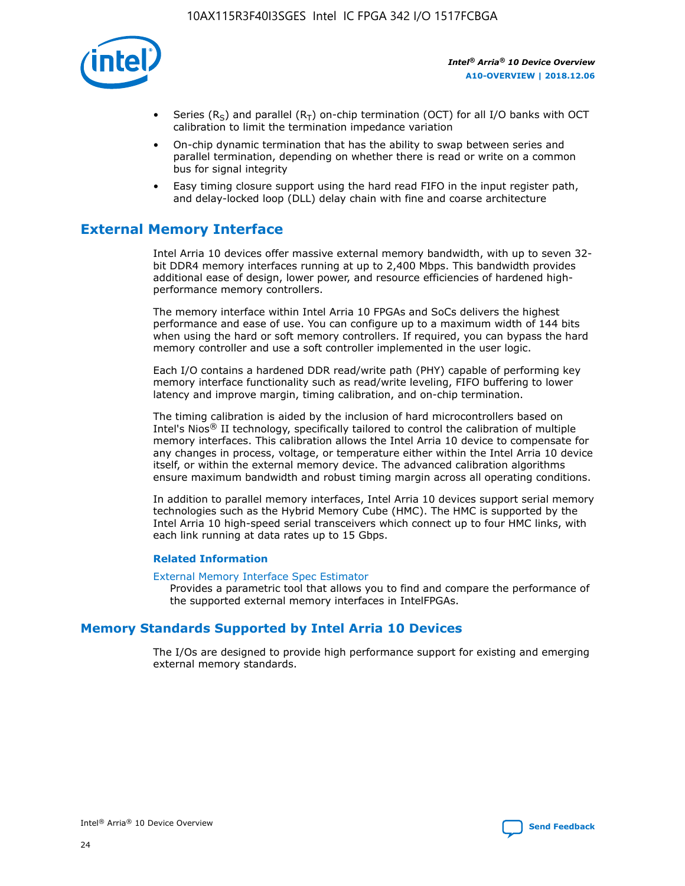

- Series (R<sub>S</sub>) and parallel (R<sub>T</sub>) on-chip termination (OCT) for all I/O banks with OCT calibration to limit the termination impedance variation
- On-chip dynamic termination that has the ability to swap between series and parallel termination, depending on whether there is read or write on a common bus for signal integrity
- Easy timing closure support using the hard read FIFO in the input register path, and delay-locked loop (DLL) delay chain with fine and coarse architecture

# **External Memory Interface**

Intel Arria 10 devices offer massive external memory bandwidth, with up to seven 32 bit DDR4 memory interfaces running at up to 2,400 Mbps. This bandwidth provides additional ease of design, lower power, and resource efficiencies of hardened highperformance memory controllers.

The memory interface within Intel Arria 10 FPGAs and SoCs delivers the highest performance and ease of use. You can configure up to a maximum width of 144 bits when using the hard or soft memory controllers. If required, you can bypass the hard memory controller and use a soft controller implemented in the user logic.

Each I/O contains a hardened DDR read/write path (PHY) capable of performing key memory interface functionality such as read/write leveling, FIFO buffering to lower latency and improve margin, timing calibration, and on-chip termination.

The timing calibration is aided by the inclusion of hard microcontrollers based on Intel's Nios® II technology, specifically tailored to control the calibration of multiple memory interfaces. This calibration allows the Intel Arria 10 device to compensate for any changes in process, voltage, or temperature either within the Intel Arria 10 device itself, or within the external memory device. The advanced calibration algorithms ensure maximum bandwidth and robust timing margin across all operating conditions.

In addition to parallel memory interfaces, Intel Arria 10 devices support serial memory technologies such as the Hybrid Memory Cube (HMC). The HMC is supported by the Intel Arria 10 high-speed serial transceivers which connect up to four HMC links, with each link running at data rates up to 15 Gbps.

#### **Related Information**

#### [External Memory Interface Spec Estimator](http://www.altera.com/technology/memory/estimator/mem-emif-index.html)

Provides a parametric tool that allows you to find and compare the performance of the supported external memory interfaces in IntelFPGAs.

## **Memory Standards Supported by Intel Arria 10 Devices**

The I/Os are designed to provide high performance support for existing and emerging external memory standards.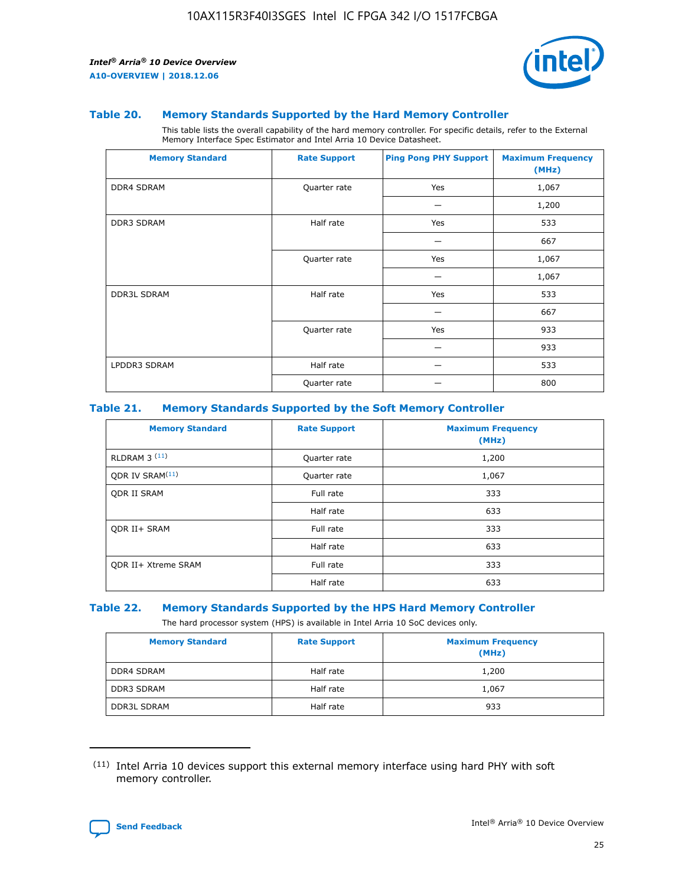

#### **Table 20. Memory Standards Supported by the Hard Memory Controller**

This table lists the overall capability of the hard memory controller. For specific details, refer to the External Memory Interface Spec Estimator and Intel Arria 10 Device Datasheet.

| <b>Memory Standard</b> | <b>Rate Support</b> | <b>Ping Pong PHY Support</b> | <b>Maximum Frequency</b><br>(MHz) |
|------------------------|---------------------|------------------------------|-----------------------------------|
| <b>DDR4 SDRAM</b>      | Quarter rate        | Yes                          | 1,067                             |
|                        |                     |                              | 1,200                             |
| DDR3 SDRAM             | Half rate           | Yes                          | 533                               |
|                        |                     |                              | 667                               |
|                        | Quarter rate        | Yes                          | 1,067                             |
|                        |                     |                              | 1,067                             |
| <b>DDR3L SDRAM</b>     | Half rate           | Yes                          | 533                               |
|                        |                     |                              | 667                               |
|                        | Quarter rate        | Yes                          | 933                               |
|                        |                     |                              | 933                               |
| LPDDR3 SDRAM           | Half rate           |                              | 533                               |
|                        | Quarter rate        |                              | 800                               |

#### **Table 21. Memory Standards Supported by the Soft Memory Controller**

| <b>Memory Standard</b>      | <b>Rate Support</b> | <b>Maximum Frequency</b><br>(MHz) |
|-----------------------------|---------------------|-----------------------------------|
| <b>RLDRAM 3 (11)</b>        | Quarter rate        | 1,200                             |
| ODR IV SRAM <sup>(11)</sup> | Quarter rate        | 1,067                             |
| <b>ODR II SRAM</b>          | Full rate           | 333                               |
|                             | Half rate           | 633                               |
| <b>ODR II+ SRAM</b>         | Full rate           | 333                               |
|                             | Half rate           | 633                               |
| <b>ODR II+ Xtreme SRAM</b>  | Full rate           | 333                               |
|                             | Half rate           | 633                               |

#### **Table 22. Memory Standards Supported by the HPS Hard Memory Controller**

The hard processor system (HPS) is available in Intel Arria 10 SoC devices only.

| <b>Memory Standard</b> | <b>Rate Support</b> | <b>Maximum Frequency</b><br>(MHz) |
|------------------------|---------------------|-----------------------------------|
| <b>DDR4 SDRAM</b>      | Half rate           | 1,200                             |
| <b>DDR3 SDRAM</b>      | Half rate           | 1,067                             |
| <b>DDR3L SDRAM</b>     | Half rate           | 933                               |

<sup>(11)</sup> Intel Arria 10 devices support this external memory interface using hard PHY with soft memory controller.

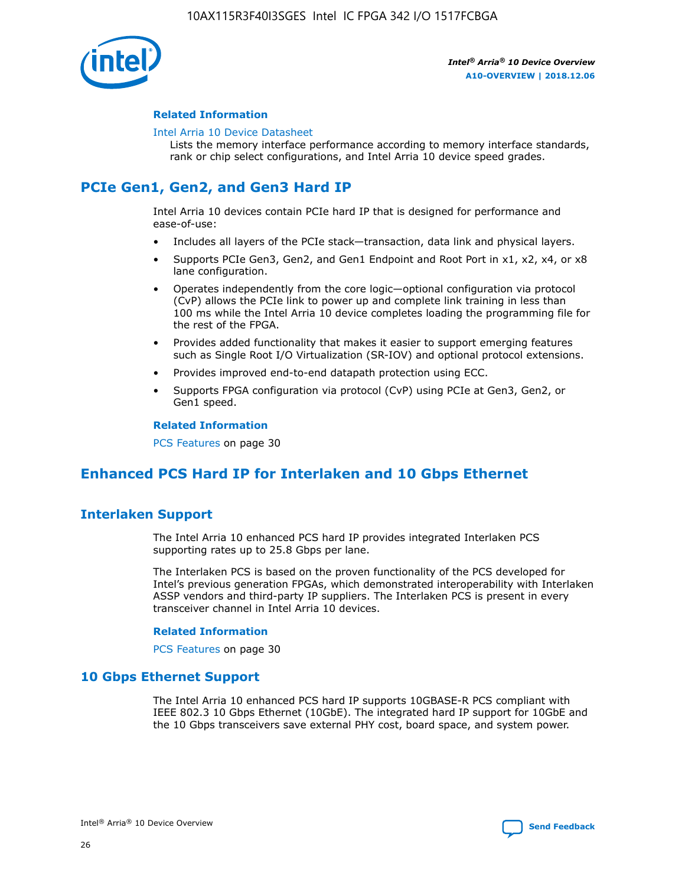

#### **Related Information**

#### [Intel Arria 10 Device Datasheet](https://www.intel.com/content/www/us/en/programmable/documentation/mcn1413182292568.html#mcn1413182153340)

Lists the memory interface performance according to memory interface standards, rank or chip select configurations, and Intel Arria 10 device speed grades.

# **PCIe Gen1, Gen2, and Gen3 Hard IP**

Intel Arria 10 devices contain PCIe hard IP that is designed for performance and ease-of-use:

- Includes all layers of the PCIe stack—transaction, data link and physical layers.
- Supports PCIe Gen3, Gen2, and Gen1 Endpoint and Root Port in x1, x2, x4, or x8 lane configuration.
- Operates independently from the core logic—optional configuration via protocol (CvP) allows the PCIe link to power up and complete link training in less than 100 ms while the Intel Arria 10 device completes loading the programming file for the rest of the FPGA.
- Provides added functionality that makes it easier to support emerging features such as Single Root I/O Virtualization (SR-IOV) and optional protocol extensions.
- Provides improved end-to-end datapath protection using ECC.
- Supports FPGA configuration via protocol (CvP) using PCIe at Gen3, Gen2, or Gen1 speed.

#### **Related Information**

PCS Features on page 30

# **Enhanced PCS Hard IP for Interlaken and 10 Gbps Ethernet**

## **Interlaken Support**

The Intel Arria 10 enhanced PCS hard IP provides integrated Interlaken PCS supporting rates up to 25.8 Gbps per lane.

The Interlaken PCS is based on the proven functionality of the PCS developed for Intel's previous generation FPGAs, which demonstrated interoperability with Interlaken ASSP vendors and third-party IP suppliers. The Interlaken PCS is present in every transceiver channel in Intel Arria 10 devices.

#### **Related Information**

PCS Features on page 30

## **10 Gbps Ethernet Support**

The Intel Arria 10 enhanced PCS hard IP supports 10GBASE-R PCS compliant with IEEE 802.3 10 Gbps Ethernet (10GbE). The integrated hard IP support for 10GbE and the 10 Gbps transceivers save external PHY cost, board space, and system power.

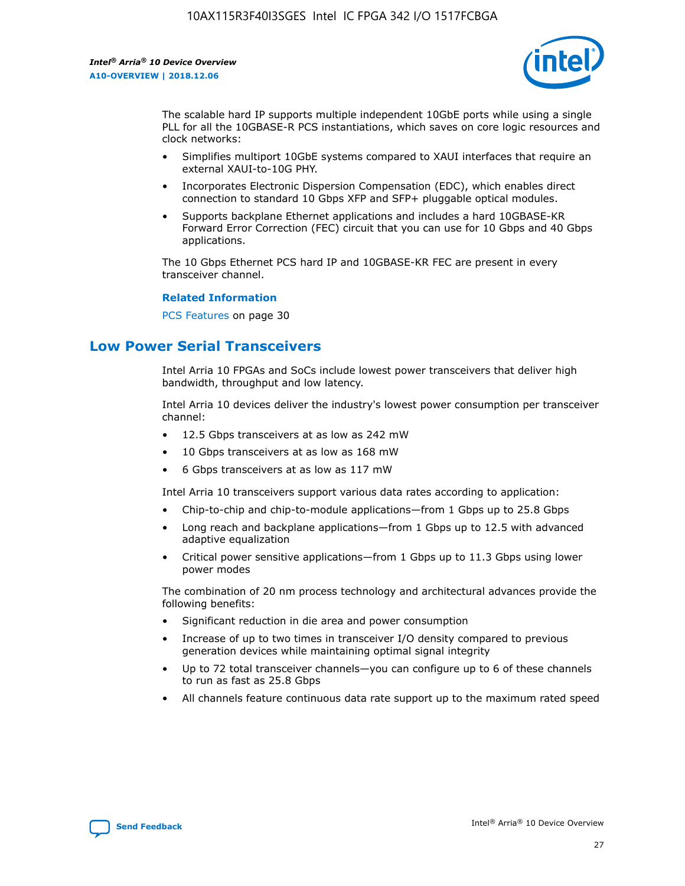

The scalable hard IP supports multiple independent 10GbE ports while using a single PLL for all the 10GBASE-R PCS instantiations, which saves on core logic resources and clock networks:

- Simplifies multiport 10GbE systems compared to XAUI interfaces that require an external XAUI-to-10G PHY.
- Incorporates Electronic Dispersion Compensation (EDC), which enables direct connection to standard 10 Gbps XFP and SFP+ pluggable optical modules.
- Supports backplane Ethernet applications and includes a hard 10GBASE-KR Forward Error Correction (FEC) circuit that you can use for 10 Gbps and 40 Gbps applications.

The 10 Gbps Ethernet PCS hard IP and 10GBASE-KR FEC are present in every transceiver channel.

#### **Related Information**

PCS Features on page 30

# **Low Power Serial Transceivers**

Intel Arria 10 FPGAs and SoCs include lowest power transceivers that deliver high bandwidth, throughput and low latency.

Intel Arria 10 devices deliver the industry's lowest power consumption per transceiver channel:

- 12.5 Gbps transceivers at as low as 242 mW
- 10 Gbps transceivers at as low as 168 mW
- 6 Gbps transceivers at as low as 117 mW

Intel Arria 10 transceivers support various data rates according to application:

- Chip-to-chip and chip-to-module applications—from 1 Gbps up to 25.8 Gbps
- Long reach and backplane applications—from 1 Gbps up to 12.5 with advanced adaptive equalization
- Critical power sensitive applications—from 1 Gbps up to 11.3 Gbps using lower power modes

The combination of 20 nm process technology and architectural advances provide the following benefits:

- Significant reduction in die area and power consumption
- Increase of up to two times in transceiver I/O density compared to previous generation devices while maintaining optimal signal integrity
- Up to 72 total transceiver channels—you can configure up to 6 of these channels to run as fast as 25.8 Gbps
- All channels feature continuous data rate support up to the maximum rated speed

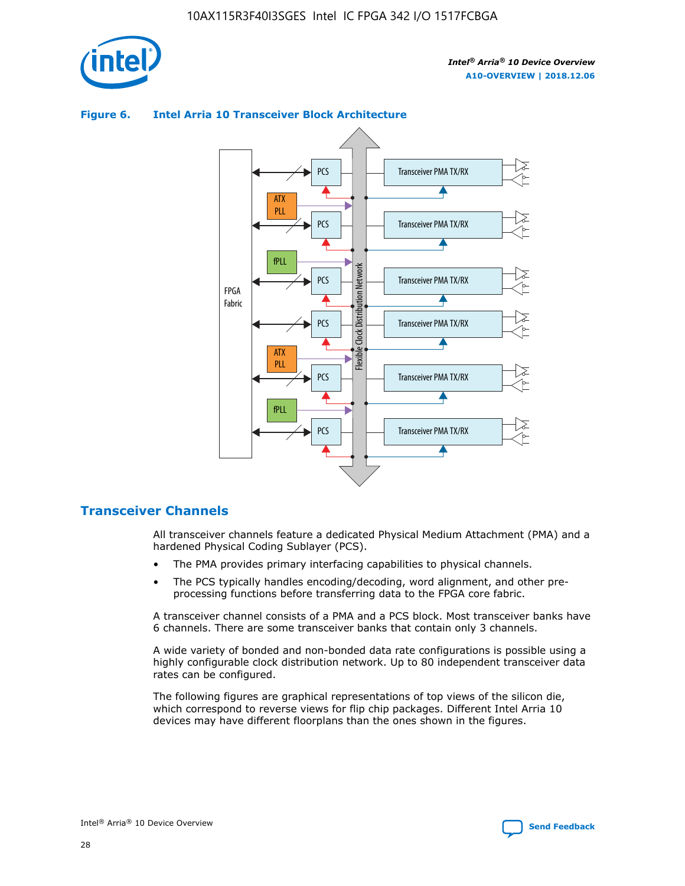

## Transceiver PMA TX/RX PCS ATX PLL Transceiver PMA TX/RX PCS fPLL Network Flexible Clock Distribution Network PCS Transceiver PMA TX/RX FPGA **Clock Distribution** Fabric PCS Transceiver PMA TX/RX ATX Flexible PLL PCS Transceiver PMA TX/RX ▲ fPLL Transceiver PMA TX/RX PCS 4

## **Figure 6. Intel Arria 10 Transceiver Block Architecture**

## **Transceiver Channels**

All transceiver channels feature a dedicated Physical Medium Attachment (PMA) and a hardened Physical Coding Sublayer (PCS).

- The PMA provides primary interfacing capabilities to physical channels.
- The PCS typically handles encoding/decoding, word alignment, and other preprocessing functions before transferring data to the FPGA core fabric.

A transceiver channel consists of a PMA and a PCS block. Most transceiver banks have 6 channels. There are some transceiver banks that contain only 3 channels.

A wide variety of bonded and non-bonded data rate configurations is possible using a highly configurable clock distribution network. Up to 80 independent transceiver data rates can be configured.

The following figures are graphical representations of top views of the silicon die, which correspond to reverse views for flip chip packages. Different Intel Arria 10 devices may have different floorplans than the ones shown in the figures.

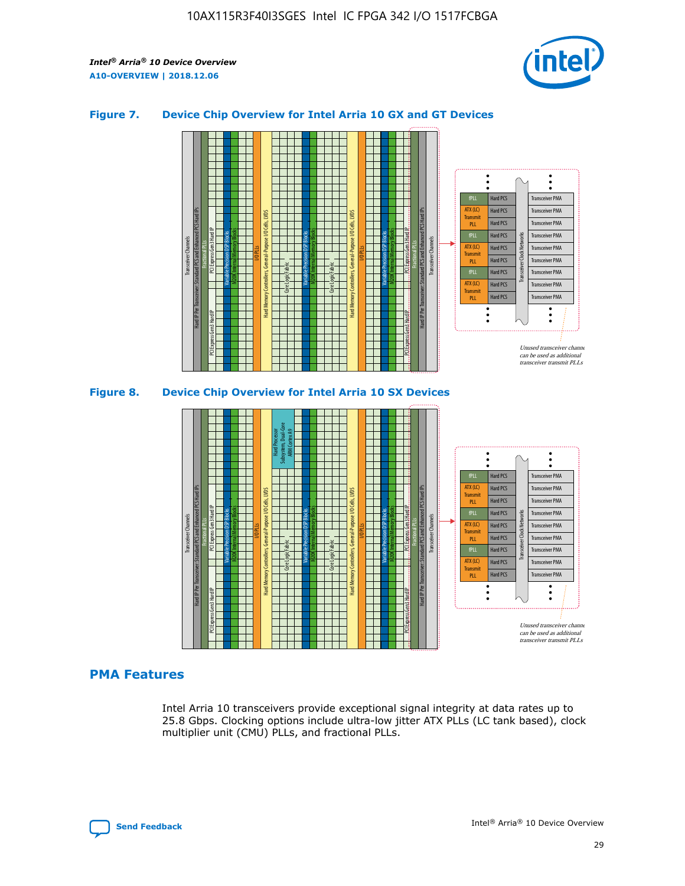

### **Figure 7. Device Chip Overview for Intel Arria 10 GX and GT Devices**



M20K Internal Memory Blocks Core Logic Fabric Transceiver Channels Hard IP Per Transceiver: Standard PCS and Enhanced PCS Hard IPs PCI Express Gen3 Hard IP Fractional PLLs M20K Internal Memory Blocks PCI Express Gen3 Hard IP Variable Precision DSP Blocks I/O PLLs Hard Memory Controllers, General-Purpose I/O Cells, LVDS Hard Processor Subsystem, Dual-Core ARM Cortex A9 M20K Internal Memory Blocks Variable Precision DSP Blocks M20K Internal Memory Blocks Core Logic Fabric I/O PLLs Hard Memory Controllers, General-Purpose I/O Cells, LVDS M20K Internal Memory Blocks Variable Precision DSP Blocks M20K Internal Memory Blocks Transceiver Channels Hard IP Per Transceiver: Standard PCS and Enhanced PCS Hard IPs PCI Express Gen3 Hard IP Fractional PLLs PCI Express Gen3 Hard IP Hard PCS Hard PCS Hard PCS Hard PCS Hard PCS Hard PCS Hard PCS Hard PCS Transceiver PMA Transceiver PMA Transceiver PMA Transceiver PMA Transceiver PMA Transceiver PMA Unused transceiver chann can be used as additional transceiver transmit PLLs Transceiver PMA Transceiver PMA Transceiver Clock Networks ATX (LC) **Transmit** PLL fPLL ATX (LC) Transmi PLL fPLL ATX (LC) **Transmit** PLL

## **PMA Features**

Intel Arria 10 transceivers provide exceptional signal integrity at data rates up to 25.8 Gbps. Clocking options include ultra-low jitter ATX PLLs (LC tank based), clock multiplier unit (CMU) PLLs, and fractional PLLs.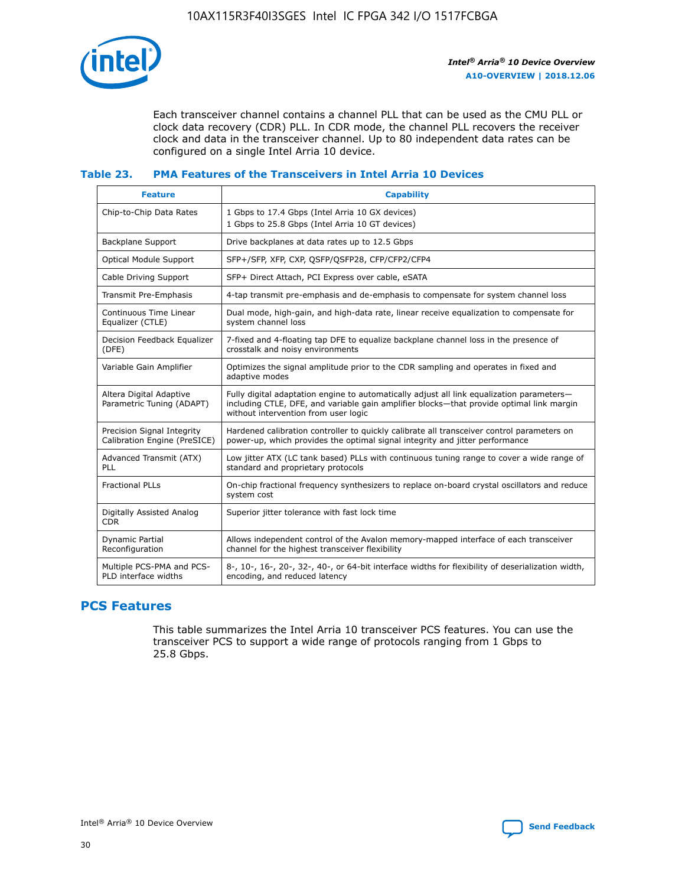

Each transceiver channel contains a channel PLL that can be used as the CMU PLL or clock data recovery (CDR) PLL. In CDR mode, the channel PLL recovers the receiver clock and data in the transceiver channel. Up to 80 independent data rates can be configured on a single Intel Arria 10 device.

## **Table 23. PMA Features of the Transceivers in Intel Arria 10 Devices**

| <b>Feature</b>                                             | <b>Capability</b>                                                                                                                                                                                                             |
|------------------------------------------------------------|-------------------------------------------------------------------------------------------------------------------------------------------------------------------------------------------------------------------------------|
| Chip-to-Chip Data Rates                                    | 1 Gbps to 17.4 Gbps (Intel Arria 10 GX devices)<br>1 Gbps to 25.8 Gbps (Intel Arria 10 GT devices)                                                                                                                            |
| <b>Backplane Support</b>                                   | Drive backplanes at data rates up to 12.5 Gbps                                                                                                                                                                                |
| <b>Optical Module Support</b>                              | SFP+/SFP, XFP, CXP, QSFP/QSFP28, CFP/CFP2/CFP4                                                                                                                                                                                |
| Cable Driving Support                                      | SFP+ Direct Attach, PCI Express over cable, eSATA                                                                                                                                                                             |
| Transmit Pre-Emphasis                                      | 4-tap transmit pre-emphasis and de-emphasis to compensate for system channel loss                                                                                                                                             |
| Continuous Time Linear<br>Equalizer (CTLE)                 | Dual mode, high-gain, and high-data rate, linear receive equalization to compensate for<br>system channel loss                                                                                                                |
| Decision Feedback Equalizer<br>(DFE)                       | 7-fixed and 4-floating tap DFE to equalize backplane channel loss in the presence of<br>crosstalk and noisy environments                                                                                                      |
| Variable Gain Amplifier                                    | Optimizes the signal amplitude prior to the CDR sampling and operates in fixed and<br>adaptive modes                                                                                                                          |
| Altera Digital Adaptive<br>Parametric Tuning (ADAPT)       | Fully digital adaptation engine to automatically adjust all link equalization parameters-<br>including CTLE, DFE, and variable gain amplifier blocks—that provide optimal link margin<br>without intervention from user logic |
| Precision Signal Integrity<br>Calibration Engine (PreSICE) | Hardened calibration controller to quickly calibrate all transceiver control parameters on<br>power-up, which provides the optimal signal integrity and jitter performance                                                    |
| Advanced Transmit (ATX)<br>PLL                             | Low jitter ATX (LC tank based) PLLs with continuous tuning range to cover a wide range of<br>standard and proprietary protocols                                                                                               |
| <b>Fractional PLLs</b>                                     | On-chip fractional frequency synthesizers to replace on-board crystal oscillators and reduce<br>system cost                                                                                                                   |
| Digitally Assisted Analog<br><b>CDR</b>                    | Superior jitter tolerance with fast lock time                                                                                                                                                                                 |
| Dynamic Partial<br>Reconfiguration                         | Allows independent control of the Avalon memory-mapped interface of each transceiver<br>channel for the highest transceiver flexibility                                                                                       |
| Multiple PCS-PMA and PCS-<br>PLD interface widths          | 8-, 10-, 16-, 20-, 32-, 40-, or 64-bit interface widths for flexibility of deserialization width,<br>encoding, and reduced latency                                                                                            |

## **PCS Features**

This table summarizes the Intel Arria 10 transceiver PCS features. You can use the transceiver PCS to support a wide range of protocols ranging from 1 Gbps to 25.8 Gbps.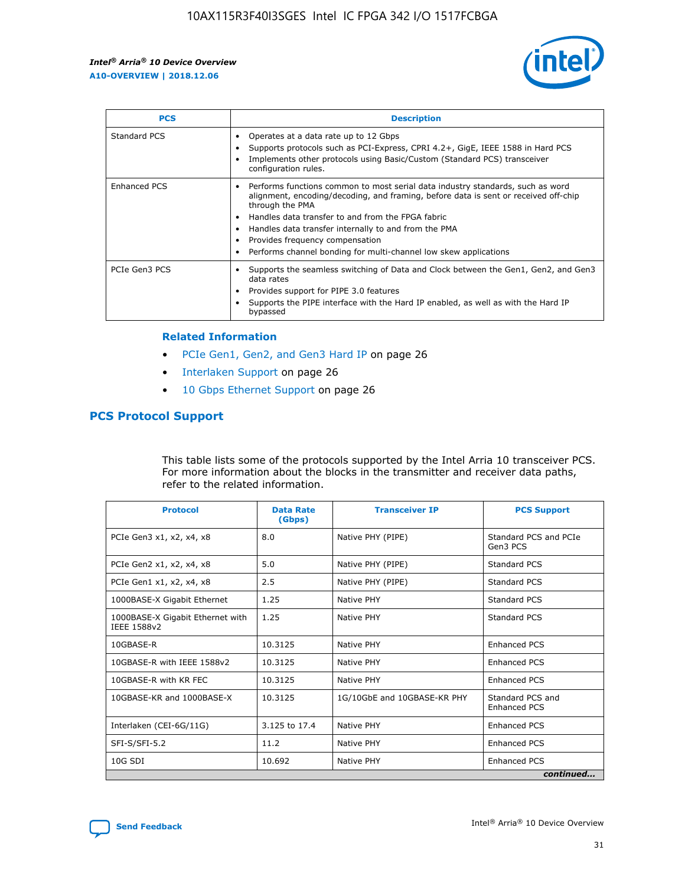

| <b>PCS</b>    | <b>Description</b>                                                                                                                                                                                                                                                                                                                                                                                             |
|---------------|----------------------------------------------------------------------------------------------------------------------------------------------------------------------------------------------------------------------------------------------------------------------------------------------------------------------------------------------------------------------------------------------------------------|
| Standard PCS  | Operates at a data rate up to 12 Gbps<br>Supports protocols such as PCI-Express, CPRI 4.2+, GigE, IEEE 1588 in Hard PCS<br>Implements other protocols using Basic/Custom (Standard PCS) transceiver<br>configuration rules.                                                                                                                                                                                    |
| Enhanced PCS  | Performs functions common to most serial data industry standards, such as word<br>alignment, encoding/decoding, and framing, before data is sent or received off-chip<br>through the PMA<br>• Handles data transfer to and from the FPGA fabric<br>Handles data transfer internally to and from the PMA<br>Provides frequency compensation<br>Performs channel bonding for multi-channel low skew applications |
| PCIe Gen3 PCS | Supports the seamless switching of Data and Clock between the Gen1, Gen2, and Gen3<br>data rates<br>Provides support for PIPE 3.0 features<br>Supports the PIPE interface with the Hard IP enabled, as well as with the Hard IP<br>bypassed                                                                                                                                                                    |

#### **Related Information**

- PCIe Gen1, Gen2, and Gen3 Hard IP on page 26
- Interlaken Support on page 26
- 10 Gbps Ethernet Support on page 26

## **PCS Protocol Support**

This table lists some of the protocols supported by the Intel Arria 10 transceiver PCS. For more information about the blocks in the transmitter and receiver data paths, refer to the related information.

| <b>Protocol</b>                                 | <b>Data Rate</b><br>(Gbps) | <b>Transceiver IP</b>       | <b>PCS Support</b>                      |  |
|-------------------------------------------------|----------------------------|-----------------------------|-----------------------------------------|--|
| PCIe Gen3 x1, x2, x4, x8                        | 8.0                        | Native PHY (PIPE)           | Standard PCS and PCIe<br>Gen3 PCS       |  |
| PCIe Gen2 x1, x2, x4, x8                        | 5.0                        | Native PHY (PIPE)           | <b>Standard PCS</b>                     |  |
| PCIe Gen1 x1, x2, x4, x8                        | 2.5                        | Native PHY (PIPE)           | Standard PCS                            |  |
| 1000BASE-X Gigabit Ethernet                     | 1.25                       | Native PHY                  | Standard PCS                            |  |
| 1000BASE-X Gigabit Ethernet with<br>IEEE 1588v2 | 1.25                       | Native PHY                  | Standard PCS                            |  |
| 10GBASE-R                                       | 10.3125                    | Native PHY                  | <b>Enhanced PCS</b>                     |  |
| 10GBASE-R with IEEE 1588v2                      | 10.3125                    | Native PHY                  | <b>Enhanced PCS</b>                     |  |
| 10GBASE-R with KR FEC                           | 10.3125                    | Native PHY                  | <b>Enhanced PCS</b>                     |  |
| 10GBASE-KR and 1000BASE-X                       | 10.3125                    | 1G/10GbE and 10GBASE-KR PHY | Standard PCS and<br><b>Enhanced PCS</b> |  |
| Interlaken (CEI-6G/11G)                         | 3.125 to 17.4              | Native PHY                  | <b>Enhanced PCS</b>                     |  |
| SFI-S/SFI-5.2                                   | 11.2                       | Native PHY                  | <b>Enhanced PCS</b>                     |  |
| $10G$ SDI                                       | 10.692                     | Native PHY                  | <b>Enhanced PCS</b>                     |  |
|                                                 |                            |                             | continued                               |  |

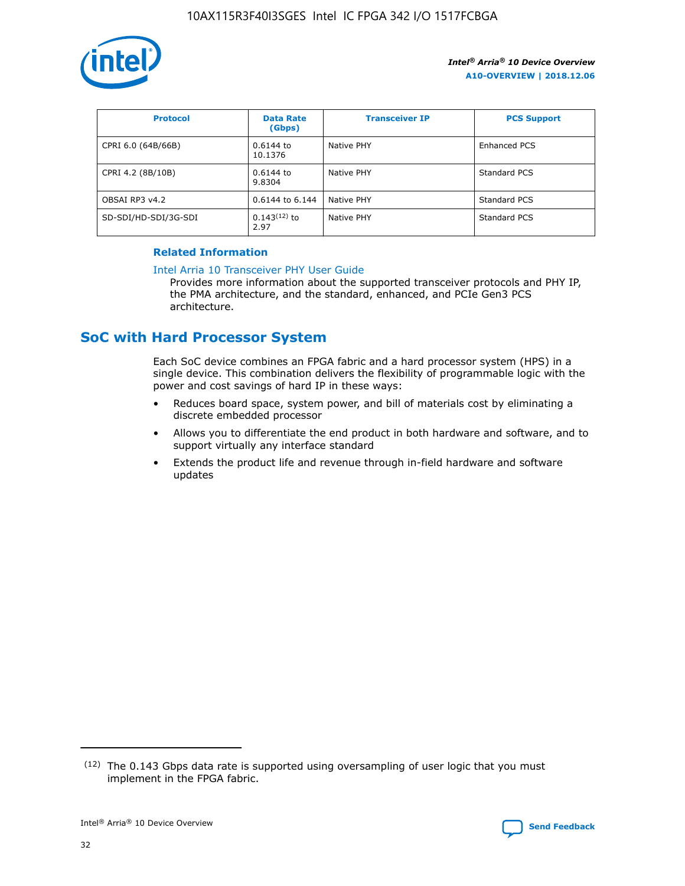

| <b>Protocol</b>      | <b>Data Rate</b><br>(Gbps) | <b>Transceiver IP</b> | <b>PCS Support</b> |
|----------------------|----------------------------|-----------------------|--------------------|
| CPRI 6.0 (64B/66B)   | 0.6144 to<br>10.1376       | Native PHY            | Enhanced PCS       |
| CPRI 4.2 (8B/10B)    | $0.6144$ to<br>9.8304      | Native PHY            | Standard PCS       |
| OBSAI RP3 v4.2       | 0.6144 to 6.144            | Native PHY            | Standard PCS       |
| SD-SDI/HD-SDI/3G-SDI | $0.143(12)$ to<br>2.97     | Native PHY            | Standard PCS       |

## **Related Information**

#### [Intel Arria 10 Transceiver PHY User Guide](https://www.intel.com/content/www/us/en/programmable/documentation/nik1398707230472.html#nik1398707091164)

Provides more information about the supported transceiver protocols and PHY IP, the PMA architecture, and the standard, enhanced, and PCIe Gen3 PCS architecture.

# **SoC with Hard Processor System**

Each SoC device combines an FPGA fabric and a hard processor system (HPS) in a single device. This combination delivers the flexibility of programmable logic with the power and cost savings of hard IP in these ways:

- Reduces board space, system power, and bill of materials cost by eliminating a discrete embedded processor
- Allows you to differentiate the end product in both hardware and software, and to support virtually any interface standard
- Extends the product life and revenue through in-field hardware and software updates

 $(12)$  The 0.143 Gbps data rate is supported using oversampling of user logic that you must implement in the FPGA fabric.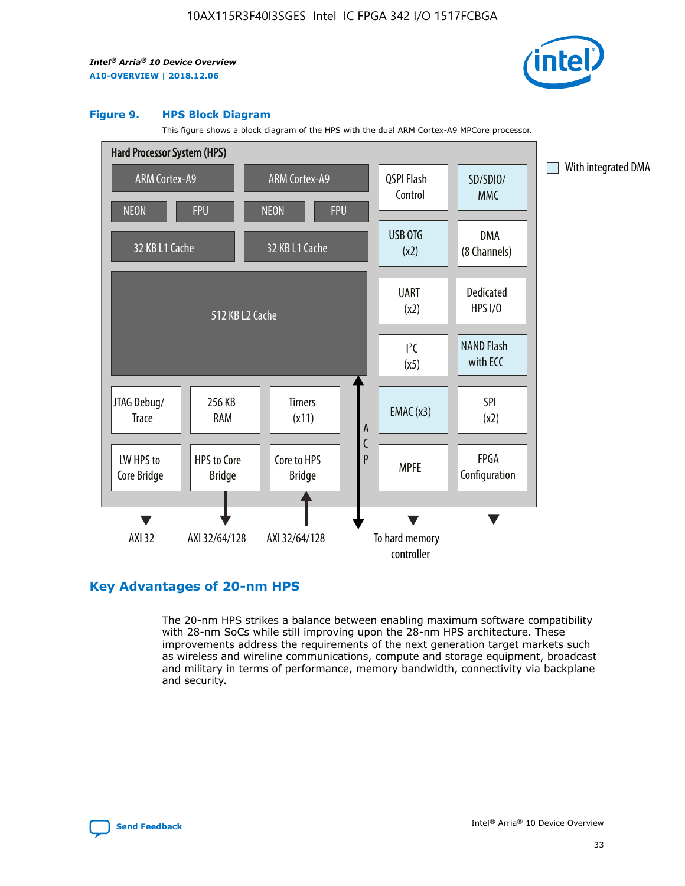

#### **Figure 9. HPS Block Diagram**

This figure shows a block diagram of the HPS with the dual ARM Cortex-A9 MPCore processor.



## **Key Advantages of 20-nm HPS**

The 20-nm HPS strikes a balance between enabling maximum software compatibility with 28-nm SoCs while still improving upon the 28-nm HPS architecture. These improvements address the requirements of the next generation target markets such as wireless and wireline communications, compute and storage equipment, broadcast and military in terms of performance, memory bandwidth, connectivity via backplane and security.

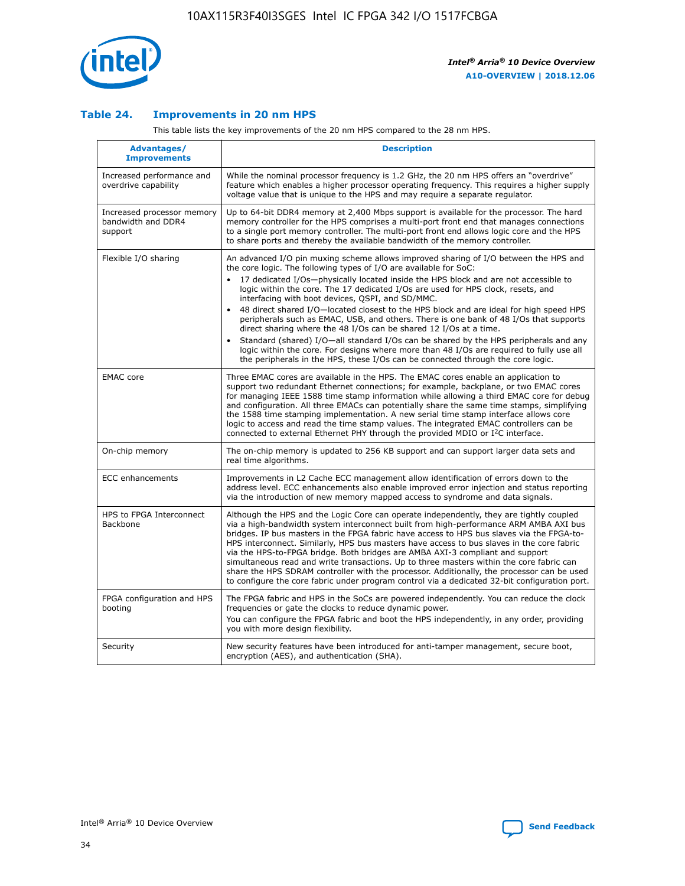

## **Table 24. Improvements in 20 nm HPS**

This table lists the key improvements of the 20 nm HPS compared to the 28 nm HPS.

| Advantages/<br><b>Improvements</b>                          | <b>Description</b>                                                                                                                                                                                                                                                                                                                                                                                                                                                                                                                                                                                                                                                                                                                                                                                                                                                                                                                                |
|-------------------------------------------------------------|---------------------------------------------------------------------------------------------------------------------------------------------------------------------------------------------------------------------------------------------------------------------------------------------------------------------------------------------------------------------------------------------------------------------------------------------------------------------------------------------------------------------------------------------------------------------------------------------------------------------------------------------------------------------------------------------------------------------------------------------------------------------------------------------------------------------------------------------------------------------------------------------------------------------------------------------------|
| Increased performance and<br>overdrive capability           | While the nominal processor frequency is 1.2 GHz, the 20 nm HPS offers an "overdrive"<br>feature which enables a higher processor operating frequency. This requires a higher supply<br>voltage value that is unique to the HPS and may require a separate regulator.                                                                                                                                                                                                                                                                                                                                                                                                                                                                                                                                                                                                                                                                             |
| Increased processor memory<br>bandwidth and DDR4<br>support | Up to 64-bit DDR4 memory at 2,400 Mbps support is available for the processor. The hard<br>memory controller for the HPS comprises a multi-port front end that manages connections<br>to a single port memory controller. The multi-port front end allows logic core and the HPS<br>to share ports and thereby the available bandwidth of the memory controller.                                                                                                                                                                                                                                                                                                                                                                                                                                                                                                                                                                                  |
| Flexible I/O sharing                                        | An advanced I/O pin muxing scheme allows improved sharing of I/O between the HPS and<br>the core logic. The following types of I/O are available for SoC:<br>17 dedicated I/Os-physically located inside the HPS block and are not accessible to<br>$\bullet$<br>logic within the core. The 17 dedicated I/Os are used for HPS clock, resets, and<br>interfacing with boot devices, QSPI, and SD/MMC.<br>48 direct shared I/O-located closest to the HPS block and are ideal for high speed HPS<br>$\bullet$<br>peripherals such as EMAC, USB, and others. There is one bank of 48 I/Os that supports<br>direct sharing where the 48 I/Os can be shared 12 I/Os at a time.<br>Standard (shared) I/O-all standard I/Os can be shared by the HPS peripherals and any<br>logic within the core. For designs where more than 48 I/Os are reguired to fully use all<br>the peripherals in the HPS, these I/Os can be connected through the core logic. |
| <b>EMAC</b> core                                            | Three EMAC cores are available in the HPS. The EMAC cores enable an application to<br>support two redundant Ethernet connections; for example, backplane, or two EMAC cores<br>for managing IEEE 1588 time stamp information while allowing a third EMAC core for debug<br>and configuration. All three EMACs can potentially share the same time stamps, simplifying<br>the 1588 time stamping implementation. A new serial time stamp interface allows core<br>logic to access and read the time stamp values. The integrated EMAC controllers can be<br>connected to external Ethernet PHY through the provided MDIO or I <sup>2</sup> C interface.                                                                                                                                                                                                                                                                                            |
| On-chip memory                                              | The on-chip memory is updated to 256 KB support and can support larger data sets and<br>real time algorithms.                                                                                                                                                                                                                                                                                                                                                                                                                                                                                                                                                                                                                                                                                                                                                                                                                                     |
| <b>ECC</b> enhancements                                     | Improvements in L2 Cache ECC management allow identification of errors down to the<br>address level. ECC enhancements also enable improved error injection and status reporting<br>via the introduction of new memory mapped access to syndrome and data signals.                                                                                                                                                                                                                                                                                                                                                                                                                                                                                                                                                                                                                                                                                 |
| HPS to FPGA Interconnect<br>Backbone                        | Although the HPS and the Logic Core can operate independently, they are tightly coupled<br>via a high-bandwidth system interconnect built from high-performance ARM AMBA AXI bus<br>bridges. IP bus masters in the FPGA fabric have access to HPS bus slaves via the FPGA-to-<br>HPS interconnect. Similarly, HPS bus masters have access to bus slaves in the core fabric<br>via the HPS-to-FPGA bridge. Both bridges are AMBA AXI-3 compliant and support<br>simultaneous read and write transactions. Up to three masters within the core fabric can<br>share the HPS SDRAM controller with the processor. Additionally, the processor can be used<br>to configure the core fabric under program control via a dedicated 32-bit configuration port.                                                                                                                                                                                            |
| FPGA configuration and HPS<br>booting                       | The FPGA fabric and HPS in the SoCs are powered independently. You can reduce the clock<br>frequencies or gate the clocks to reduce dynamic power.<br>You can configure the FPGA fabric and boot the HPS independently, in any order, providing<br>you with more design flexibility.                                                                                                                                                                                                                                                                                                                                                                                                                                                                                                                                                                                                                                                              |
| Security                                                    | New security features have been introduced for anti-tamper management, secure boot,<br>encryption (AES), and authentication (SHA).                                                                                                                                                                                                                                                                                                                                                                                                                                                                                                                                                                                                                                                                                                                                                                                                                |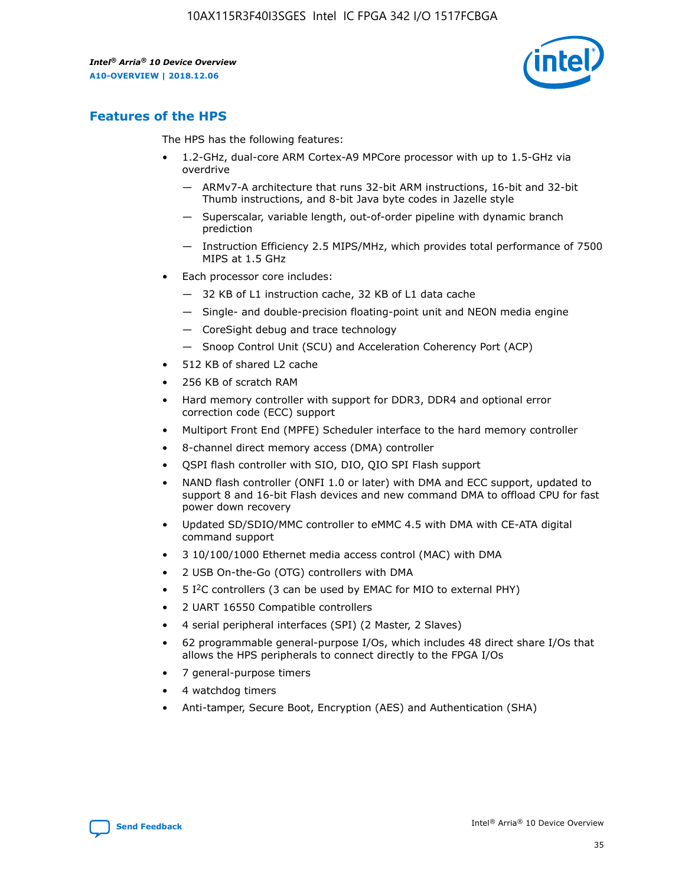

## **Features of the HPS**

The HPS has the following features:

- 1.2-GHz, dual-core ARM Cortex-A9 MPCore processor with up to 1.5-GHz via overdrive
	- ARMv7-A architecture that runs 32-bit ARM instructions, 16-bit and 32-bit Thumb instructions, and 8-bit Java byte codes in Jazelle style
	- Superscalar, variable length, out-of-order pipeline with dynamic branch prediction
	- Instruction Efficiency 2.5 MIPS/MHz, which provides total performance of 7500 MIPS at 1.5 GHz
- Each processor core includes:
	- 32 KB of L1 instruction cache, 32 KB of L1 data cache
	- Single- and double-precision floating-point unit and NEON media engine
	- CoreSight debug and trace technology
	- Snoop Control Unit (SCU) and Acceleration Coherency Port (ACP)
- 512 KB of shared L2 cache
- 256 KB of scratch RAM
- Hard memory controller with support for DDR3, DDR4 and optional error correction code (ECC) support
- Multiport Front End (MPFE) Scheduler interface to the hard memory controller
- 8-channel direct memory access (DMA) controller
- QSPI flash controller with SIO, DIO, QIO SPI Flash support
- NAND flash controller (ONFI 1.0 or later) with DMA and ECC support, updated to support 8 and 16-bit Flash devices and new command DMA to offload CPU for fast power down recovery
- Updated SD/SDIO/MMC controller to eMMC 4.5 with DMA with CE-ATA digital command support
- 3 10/100/1000 Ethernet media access control (MAC) with DMA
- 2 USB On-the-Go (OTG) controllers with DMA
- $\bullet$  5 I<sup>2</sup>C controllers (3 can be used by EMAC for MIO to external PHY)
- 2 UART 16550 Compatible controllers
- 4 serial peripheral interfaces (SPI) (2 Master, 2 Slaves)
- 62 programmable general-purpose I/Os, which includes 48 direct share I/Os that allows the HPS peripherals to connect directly to the FPGA I/Os
- 7 general-purpose timers
- 4 watchdog timers
- Anti-tamper, Secure Boot, Encryption (AES) and Authentication (SHA)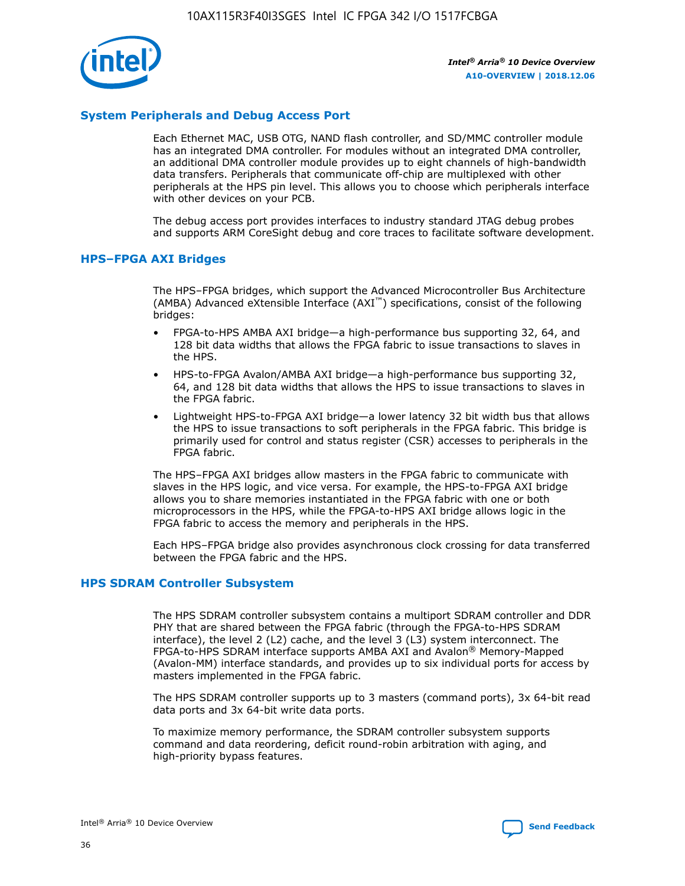

## **System Peripherals and Debug Access Port**

Each Ethernet MAC, USB OTG, NAND flash controller, and SD/MMC controller module has an integrated DMA controller. For modules without an integrated DMA controller, an additional DMA controller module provides up to eight channels of high-bandwidth data transfers. Peripherals that communicate off-chip are multiplexed with other peripherals at the HPS pin level. This allows you to choose which peripherals interface with other devices on your PCB.

The debug access port provides interfaces to industry standard JTAG debug probes and supports ARM CoreSight debug and core traces to facilitate software development.

## **HPS–FPGA AXI Bridges**

The HPS–FPGA bridges, which support the Advanced Microcontroller Bus Architecture (AMBA) Advanced eXtensible Interface (AXI™) specifications, consist of the following bridges:

- FPGA-to-HPS AMBA AXI bridge—a high-performance bus supporting 32, 64, and 128 bit data widths that allows the FPGA fabric to issue transactions to slaves in the HPS.
- HPS-to-FPGA Avalon/AMBA AXI bridge—a high-performance bus supporting 32, 64, and 128 bit data widths that allows the HPS to issue transactions to slaves in the FPGA fabric.
- Lightweight HPS-to-FPGA AXI bridge—a lower latency 32 bit width bus that allows the HPS to issue transactions to soft peripherals in the FPGA fabric. This bridge is primarily used for control and status register (CSR) accesses to peripherals in the FPGA fabric.

The HPS–FPGA AXI bridges allow masters in the FPGA fabric to communicate with slaves in the HPS logic, and vice versa. For example, the HPS-to-FPGA AXI bridge allows you to share memories instantiated in the FPGA fabric with one or both microprocessors in the HPS, while the FPGA-to-HPS AXI bridge allows logic in the FPGA fabric to access the memory and peripherals in the HPS.

Each HPS–FPGA bridge also provides asynchronous clock crossing for data transferred between the FPGA fabric and the HPS.

#### **HPS SDRAM Controller Subsystem**

The HPS SDRAM controller subsystem contains a multiport SDRAM controller and DDR PHY that are shared between the FPGA fabric (through the FPGA-to-HPS SDRAM interface), the level 2 (L2) cache, and the level 3 (L3) system interconnect. The FPGA-to-HPS SDRAM interface supports AMBA AXI and Avalon® Memory-Mapped (Avalon-MM) interface standards, and provides up to six individual ports for access by masters implemented in the FPGA fabric.

The HPS SDRAM controller supports up to 3 masters (command ports), 3x 64-bit read data ports and 3x 64-bit write data ports.

To maximize memory performance, the SDRAM controller subsystem supports command and data reordering, deficit round-robin arbitration with aging, and high-priority bypass features.

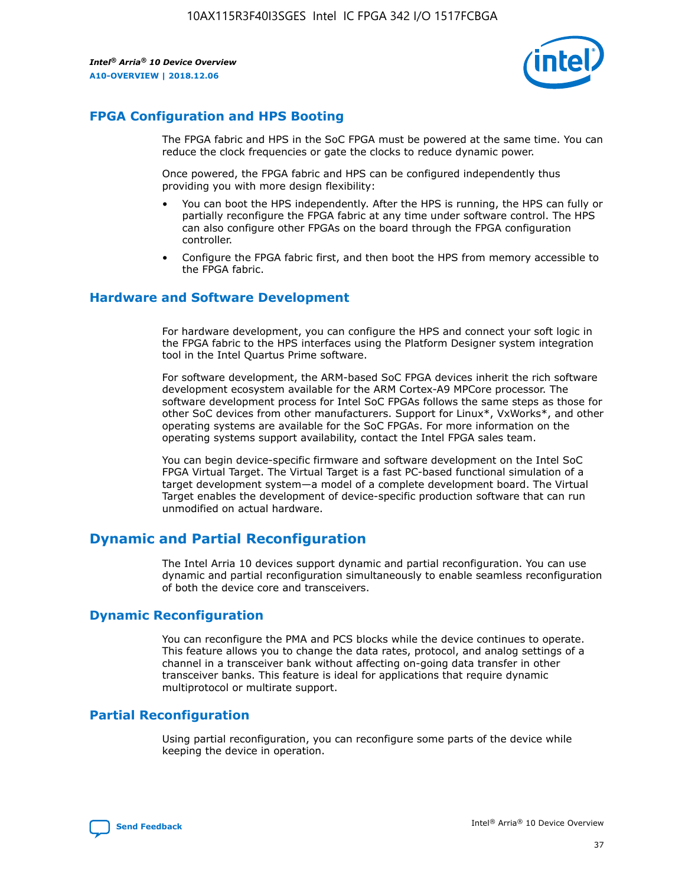

## **FPGA Configuration and HPS Booting**

The FPGA fabric and HPS in the SoC FPGA must be powered at the same time. You can reduce the clock frequencies or gate the clocks to reduce dynamic power.

Once powered, the FPGA fabric and HPS can be configured independently thus providing you with more design flexibility:

- You can boot the HPS independently. After the HPS is running, the HPS can fully or partially reconfigure the FPGA fabric at any time under software control. The HPS can also configure other FPGAs on the board through the FPGA configuration controller.
- Configure the FPGA fabric first, and then boot the HPS from memory accessible to the FPGA fabric.

## **Hardware and Software Development**

For hardware development, you can configure the HPS and connect your soft logic in the FPGA fabric to the HPS interfaces using the Platform Designer system integration tool in the Intel Quartus Prime software.

For software development, the ARM-based SoC FPGA devices inherit the rich software development ecosystem available for the ARM Cortex-A9 MPCore processor. The software development process for Intel SoC FPGAs follows the same steps as those for other SoC devices from other manufacturers. Support for Linux\*, VxWorks\*, and other operating systems are available for the SoC FPGAs. For more information on the operating systems support availability, contact the Intel FPGA sales team.

You can begin device-specific firmware and software development on the Intel SoC FPGA Virtual Target. The Virtual Target is a fast PC-based functional simulation of a target development system—a model of a complete development board. The Virtual Target enables the development of device-specific production software that can run unmodified on actual hardware.

## **Dynamic and Partial Reconfiguration**

The Intel Arria 10 devices support dynamic and partial reconfiguration. You can use dynamic and partial reconfiguration simultaneously to enable seamless reconfiguration of both the device core and transceivers.

## **Dynamic Reconfiguration**

You can reconfigure the PMA and PCS blocks while the device continues to operate. This feature allows you to change the data rates, protocol, and analog settings of a channel in a transceiver bank without affecting on-going data transfer in other transceiver banks. This feature is ideal for applications that require dynamic multiprotocol or multirate support.

## **Partial Reconfiguration**

Using partial reconfiguration, you can reconfigure some parts of the device while keeping the device in operation.

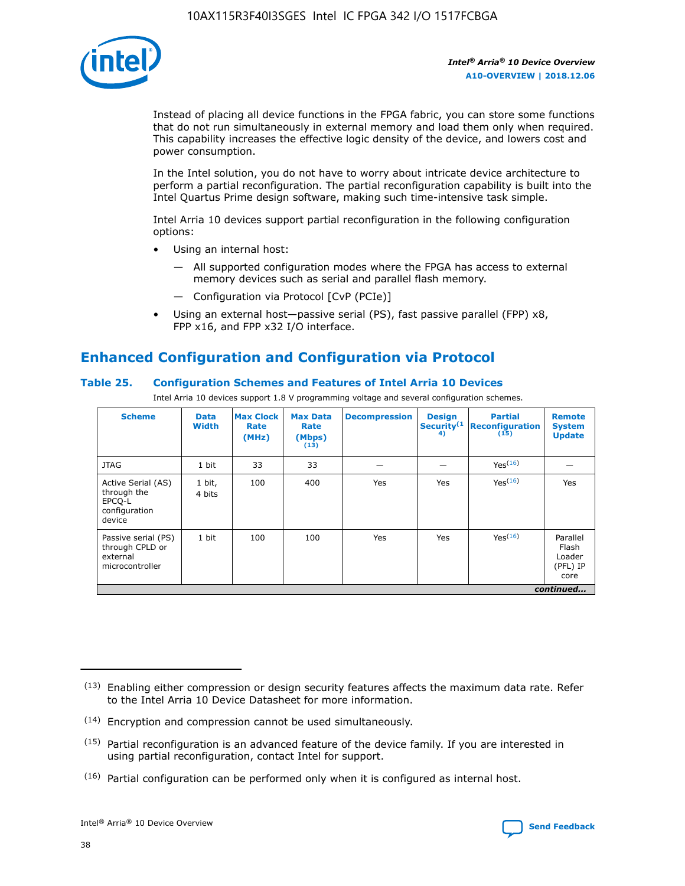

Instead of placing all device functions in the FPGA fabric, you can store some functions that do not run simultaneously in external memory and load them only when required. This capability increases the effective logic density of the device, and lowers cost and power consumption.

In the Intel solution, you do not have to worry about intricate device architecture to perform a partial reconfiguration. The partial reconfiguration capability is built into the Intel Quartus Prime design software, making such time-intensive task simple.

Intel Arria 10 devices support partial reconfiguration in the following configuration options:

- Using an internal host:
	- All supported configuration modes where the FPGA has access to external memory devices such as serial and parallel flash memory.
	- Configuration via Protocol [CvP (PCIe)]
- Using an external host—passive serial (PS), fast passive parallel (FPP) x8, FPP x16, and FPP x32 I/O interface.

# **Enhanced Configuration and Configuration via Protocol**

## **Table 25. Configuration Schemes and Features of Intel Arria 10 Devices**

Intel Arria 10 devices support 1.8 V programming voltage and several configuration schemes.

| <b>Scheme</b>                                                          | <b>Data</b><br><b>Width</b> | <b>Max Clock</b><br>Rate<br>(MHz) | <b>Max Data</b><br>Rate<br>(Mbps)<br>(13) | <b>Decompression</b> | <b>Design</b><br>Security <sup>(1</sup><br>4) | <b>Partial</b><br>Reconfiguration<br>(15) | <b>Remote</b><br><b>System</b><br><b>Update</b> |
|------------------------------------------------------------------------|-----------------------------|-----------------------------------|-------------------------------------------|----------------------|-----------------------------------------------|-------------------------------------------|-------------------------------------------------|
| <b>JTAG</b>                                                            | 1 bit                       | 33                                | 33                                        |                      |                                               | Yes(16)                                   |                                                 |
| Active Serial (AS)<br>through the<br>EPCO-L<br>configuration<br>device | 1 bit,<br>4 bits            | 100                               | 400                                       | Yes                  | Yes                                           | Yes(16)                                   | Yes                                             |
| Passive serial (PS)<br>through CPLD or<br>external<br>microcontroller  | 1 bit                       | 100                               | 100                                       | Yes                  | Yes                                           | Yes <sup>(16)</sup>                       | Parallel<br>Flash<br>Loader<br>(PFL) IP<br>core |
|                                                                        |                             |                                   |                                           |                      |                                               |                                           | continued                                       |

<sup>(13)</sup> Enabling either compression or design security features affects the maximum data rate. Refer to the Intel Arria 10 Device Datasheet for more information.

<sup>(14)</sup> Encryption and compression cannot be used simultaneously.

 $(15)$  Partial reconfiguration is an advanced feature of the device family. If you are interested in using partial reconfiguration, contact Intel for support.

 $(16)$  Partial configuration can be performed only when it is configured as internal host.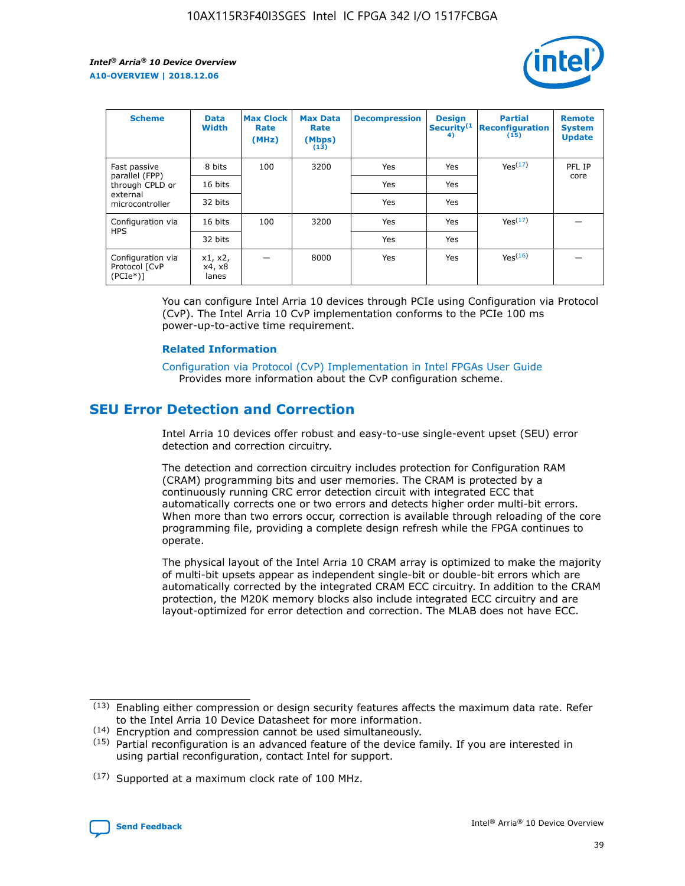

| <b>Scheme</b>                                    | <b>Data</b><br><b>Width</b> | <b>Max Clock</b><br>Rate<br>(MHz) | <b>Max Data</b><br>Rate<br>(Mbps)<br>(13) | <b>Decompression</b> | <b>Design</b><br>Security <sup>(1</sup><br>4) | <b>Partial</b><br><b>Reconfiguration</b><br>(15) | <b>Remote</b><br><b>System</b><br><b>Update</b> |
|--------------------------------------------------|-----------------------------|-----------------------------------|-------------------------------------------|----------------------|-----------------------------------------------|--------------------------------------------------|-------------------------------------------------|
| Fast passive                                     | 8 bits                      | 100                               | 3200                                      | Yes                  | Yes                                           | Yes(17)                                          | PFL IP                                          |
| parallel (FPP)<br>through CPLD or                | 16 bits                     |                                   |                                           | Yes                  | Yes                                           |                                                  | core                                            |
| external<br>microcontroller                      | 32 bits                     |                                   |                                           | Yes                  | Yes                                           |                                                  |                                                 |
| Configuration via                                | 16 bits                     | 100                               | 3200                                      | Yes                  | Yes                                           | Yes <sup>(17)</sup>                              |                                                 |
| <b>HPS</b>                                       | 32 bits                     |                                   |                                           | Yes                  | Yes                                           |                                                  |                                                 |
| Configuration via<br>Protocol [CvP<br>$(PCIe^*)$ | x1, x2,<br>x4, x8<br>lanes  |                                   | 8000                                      | Yes                  | Yes                                           | Yes(16)                                          |                                                 |

You can configure Intel Arria 10 devices through PCIe using Configuration via Protocol (CvP). The Intel Arria 10 CvP implementation conforms to the PCIe 100 ms power-up-to-active time requirement.

#### **Related Information**

[Configuration via Protocol \(CvP\) Implementation in Intel FPGAs User Guide](https://www.intel.com/content/www/us/en/programmable/documentation/dsu1441819344145.html#dsu1442269728522) Provides more information about the CvP configuration scheme.

# **SEU Error Detection and Correction**

Intel Arria 10 devices offer robust and easy-to-use single-event upset (SEU) error detection and correction circuitry.

The detection and correction circuitry includes protection for Configuration RAM (CRAM) programming bits and user memories. The CRAM is protected by a continuously running CRC error detection circuit with integrated ECC that automatically corrects one or two errors and detects higher order multi-bit errors. When more than two errors occur, correction is available through reloading of the core programming file, providing a complete design refresh while the FPGA continues to operate.

The physical layout of the Intel Arria 10 CRAM array is optimized to make the majority of multi-bit upsets appear as independent single-bit or double-bit errors which are automatically corrected by the integrated CRAM ECC circuitry. In addition to the CRAM protection, the M20K memory blocks also include integrated ECC circuitry and are layout-optimized for error detection and correction. The MLAB does not have ECC.

(14) Encryption and compression cannot be used simultaneously.

<sup>(17)</sup> Supported at a maximum clock rate of 100 MHz.



 $(13)$  Enabling either compression or design security features affects the maximum data rate. Refer to the Intel Arria 10 Device Datasheet for more information.

 $(15)$  Partial reconfiguration is an advanced feature of the device family. If you are interested in using partial reconfiguration, contact Intel for support.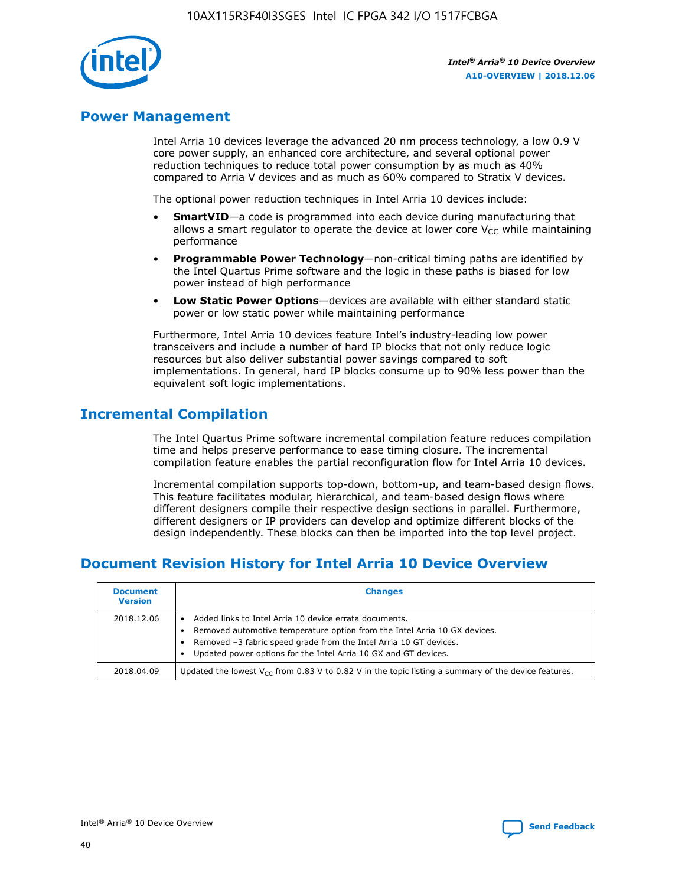

## **Power Management**

Intel Arria 10 devices leverage the advanced 20 nm process technology, a low 0.9 V core power supply, an enhanced core architecture, and several optional power reduction techniques to reduce total power consumption by as much as 40% compared to Arria V devices and as much as 60% compared to Stratix V devices.

The optional power reduction techniques in Intel Arria 10 devices include:

- **SmartVID**—a code is programmed into each device during manufacturing that allows a smart regulator to operate the device at lower core  $V_{CC}$  while maintaining performance
- **Programmable Power Technology**—non-critical timing paths are identified by the Intel Quartus Prime software and the logic in these paths is biased for low power instead of high performance
- **Low Static Power Options**—devices are available with either standard static power or low static power while maintaining performance

Furthermore, Intel Arria 10 devices feature Intel's industry-leading low power transceivers and include a number of hard IP blocks that not only reduce logic resources but also deliver substantial power savings compared to soft implementations. In general, hard IP blocks consume up to 90% less power than the equivalent soft logic implementations.

# **Incremental Compilation**

The Intel Quartus Prime software incremental compilation feature reduces compilation time and helps preserve performance to ease timing closure. The incremental compilation feature enables the partial reconfiguration flow for Intel Arria 10 devices.

Incremental compilation supports top-down, bottom-up, and team-based design flows. This feature facilitates modular, hierarchical, and team-based design flows where different designers compile their respective design sections in parallel. Furthermore, different designers or IP providers can develop and optimize different blocks of the design independently. These blocks can then be imported into the top level project.

# **Document Revision History for Intel Arria 10 Device Overview**

| <b>Document</b><br><b>Version</b> | <b>Changes</b>                                                                                                                                                                                                                                                              |
|-----------------------------------|-----------------------------------------------------------------------------------------------------------------------------------------------------------------------------------------------------------------------------------------------------------------------------|
| 2018.12.06                        | Added links to Intel Arria 10 device errata documents.<br>Removed automotive temperature option from the Intel Arria 10 GX devices.<br>Removed -3 fabric speed grade from the Intel Arria 10 GT devices.<br>Updated power options for the Intel Arria 10 GX and GT devices. |
| 2018.04.09                        | Updated the lowest $V_{CC}$ from 0.83 V to 0.82 V in the topic listing a summary of the device features.                                                                                                                                                                    |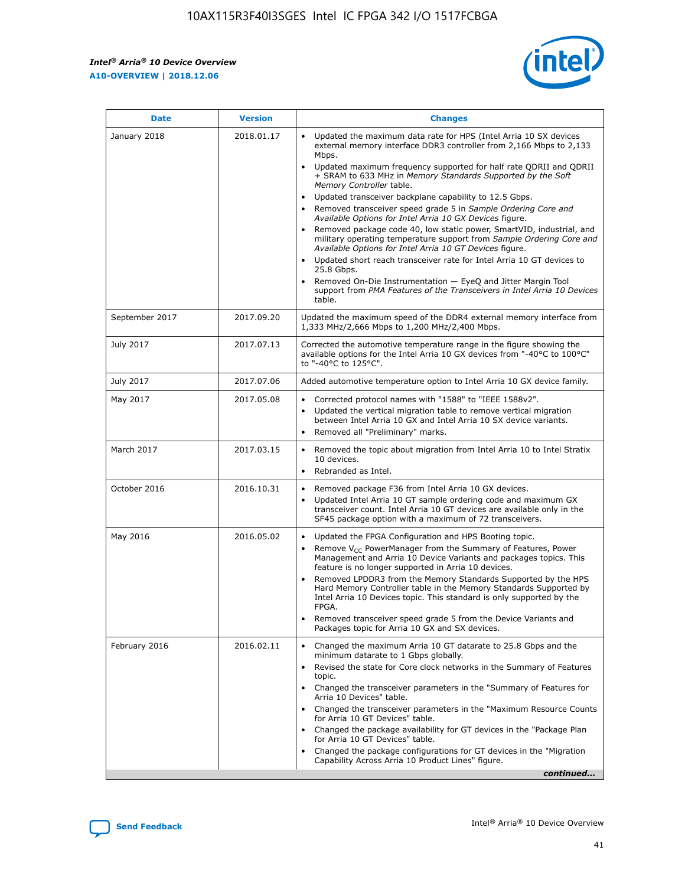*Intel® Arria® 10 Device Overview* **A10-OVERVIEW | 2018.12.06**



| <b>Date</b>    | <b>Version</b> | <b>Changes</b>                                                                                                                                                                                                                                                                                                                                                                                                                                                                                                                                                                                                                                                                                                                                                                                                                                                                                                                                                                         |
|----------------|----------------|----------------------------------------------------------------------------------------------------------------------------------------------------------------------------------------------------------------------------------------------------------------------------------------------------------------------------------------------------------------------------------------------------------------------------------------------------------------------------------------------------------------------------------------------------------------------------------------------------------------------------------------------------------------------------------------------------------------------------------------------------------------------------------------------------------------------------------------------------------------------------------------------------------------------------------------------------------------------------------------|
| January 2018   | 2018.01.17     | Updated the maximum data rate for HPS (Intel Arria 10 SX devices<br>external memory interface DDR3 controller from 2,166 Mbps to 2,133<br>Mbps.<br>Updated maximum frequency supported for half rate QDRII and QDRII<br>+ SRAM to 633 MHz in Memory Standards Supported by the Soft<br>Memory Controller table.<br>Updated transceiver backplane capability to 12.5 Gbps.<br>$\bullet$<br>Removed transceiver speed grade 5 in Sample Ordering Core and<br>$\bullet$<br>Available Options for Intel Arria 10 GX Devices figure.<br>Removed package code 40, low static power, SmartVID, industrial, and<br>military operating temperature support from Sample Ordering Core and<br>Available Options for Intel Arria 10 GT Devices figure.<br>Updated short reach transceiver rate for Intel Arria 10 GT devices to<br>25.8 Gbps.<br>Removed On-Die Instrumentation - EyeQ and Jitter Margin Tool<br>support from PMA Features of the Transceivers in Intel Arria 10 Devices<br>table. |
| September 2017 | 2017.09.20     | Updated the maximum speed of the DDR4 external memory interface from<br>1,333 MHz/2,666 Mbps to 1,200 MHz/2,400 Mbps.                                                                                                                                                                                                                                                                                                                                                                                                                                                                                                                                                                                                                                                                                                                                                                                                                                                                  |
| July 2017      | 2017.07.13     | Corrected the automotive temperature range in the figure showing the<br>available options for the Intel Arria 10 GX devices from "-40°C to 100°C"<br>to "-40°C to 125°C".                                                                                                                                                                                                                                                                                                                                                                                                                                                                                                                                                                                                                                                                                                                                                                                                              |
| July 2017      | 2017.07.06     | Added automotive temperature option to Intel Arria 10 GX device family.                                                                                                                                                                                                                                                                                                                                                                                                                                                                                                                                                                                                                                                                                                                                                                                                                                                                                                                |
| May 2017       | 2017.05.08     | Corrected protocol names with "1588" to "IEEE 1588v2".<br>$\bullet$<br>Updated the vertical migration table to remove vertical migration<br>$\bullet$<br>between Intel Arria 10 GX and Intel Arria 10 SX device variants.<br>Removed all "Preliminary" marks.<br>$\bullet$                                                                                                                                                                                                                                                                                                                                                                                                                                                                                                                                                                                                                                                                                                             |
| March 2017     | 2017.03.15     | Removed the topic about migration from Intel Arria 10 to Intel Stratix<br>$\bullet$<br>10 devices.<br>Rebranded as Intel.<br>$\bullet$                                                                                                                                                                                                                                                                                                                                                                                                                                                                                                                                                                                                                                                                                                                                                                                                                                                 |
| October 2016   | 2016.10.31     | Removed package F36 from Intel Arria 10 GX devices.<br>Updated Intel Arria 10 GT sample ordering code and maximum GX<br>$\bullet$<br>transceiver count. Intel Arria 10 GT devices are available only in the<br>SF45 package option with a maximum of 72 transceivers.                                                                                                                                                                                                                                                                                                                                                                                                                                                                                                                                                                                                                                                                                                                  |
| May 2016       | 2016.05.02     | Updated the FPGA Configuration and HPS Booting topic.<br>$\bullet$<br>Remove V <sub>CC</sub> PowerManager from the Summary of Features, Power<br>Management and Arria 10 Device Variants and packages topics. This<br>feature is no longer supported in Arria 10 devices.<br>Removed LPDDR3 from the Memory Standards Supported by the HPS<br>Hard Memory Controller table in the Memory Standards Supported by<br>Intel Arria 10 Devices topic. This standard is only supported by the<br>FPGA.<br>Removed transceiver speed grade 5 from the Device Variants and<br>Packages topic for Arria 10 GX and SX devices.                                                                                                                                                                                                                                                                                                                                                                   |
| February 2016  | 2016.02.11     | Changed the maximum Arria 10 GT datarate to 25.8 Gbps and the<br>minimum datarate to 1 Gbps globally.<br>Revised the state for Core clock networks in the Summary of Features<br>$\bullet$<br>topic.<br>Changed the transceiver parameters in the "Summary of Features for<br>$\bullet$<br>Arria 10 Devices" table.<br>• Changed the transceiver parameters in the "Maximum Resource Counts<br>for Arria 10 GT Devices" table.<br>Changed the package availability for GT devices in the "Package Plan<br>for Arria 10 GT Devices" table.<br>Changed the package configurations for GT devices in the "Migration"<br>Capability Across Arria 10 Product Lines" figure.<br>continued                                                                                                                                                                                                                                                                                                    |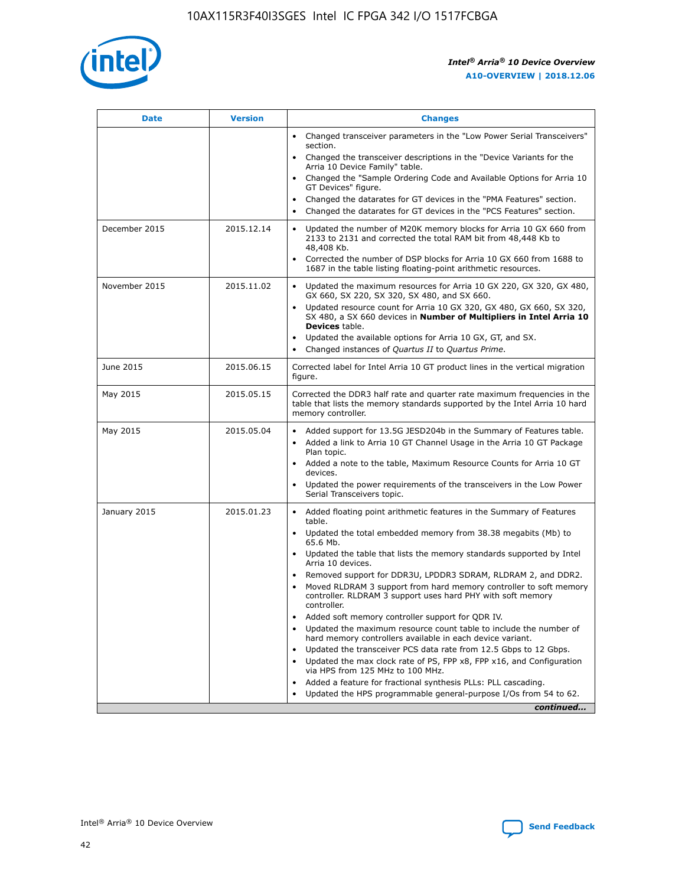

| <b>Date</b>   | <b>Version</b> | <b>Changes</b>                                                                                                                                                               |
|---------------|----------------|------------------------------------------------------------------------------------------------------------------------------------------------------------------------------|
|               |                | Changed transceiver parameters in the "Low Power Serial Transceivers"<br>$\bullet$<br>section.                                                                               |
|               |                | • Changed the transceiver descriptions in the "Device Variants for the<br>Arria 10 Device Family" table.                                                                     |
|               |                | • Changed the "Sample Ordering Code and Available Options for Arria 10<br>GT Devices" figure.                                                                                |
|               |                | Changed the datarates for GT devices in the "PMA Features" section.                                                                                                          |
|               |                | Changed the datarates for GT devices in the "PCS Features" section.<br>$\bullet$                                                                                             |
| December 2015 | 2015.12.14     | Updated the number of M20K memory blocks for Arria 10 GX 660 from<br>2133 to 2131 and corrected the total RAM bit from 48,448 Kb to<br>48,408 Kb.                            |
|               |                | Corrected the number of DSP blocks for Arria 10 GX 660 from 1688 to<br>$\bullet$<br>1687 in the table listing floating-point arithmetic resources.                           |
| November 2015 | 2015.11.02     | Updated the maximum resources for Arria 10 GX 220, GX 320, GX 480,<br>GX 660, SX 220, SX 320, SX 480, and SX 660.                                                            |
|               |                | Updated resource count for Arria 10 GX 320, GX 480, GX 660, SX 320,<br>SX 480, a SX 660 devices in Number of Multipliers in Intel Arria 10<br><b>Devices</b> table.          |
|               |                | Updated the available options for Arria 10 GX, GT, and SX.<br>$\bullet$                                                                                                      |
|               |                | Changed instances of Quartus II to Quartus Prime.<br>$\bullet$                                                                                                               |
| June 2015     | 2015.06.15     | Corrected label for Intel Arria 10 GT product lines in the vertical migration<br>figure.                                                                                     |
| May 2015      | 2015.05.15     | Corrected the DDR3 half rate and quarter rate maximum frequencies in the<br>table that lists the memory standards supported by the Intel Arria 10 hard<br>memory controller. |
| May 2015      | 2015.05.04     | • Added support for 13.5G JESD204b in the Summary of Features table.                                                                                                         |
|               |                | Added a link to Arria 10 GT Channel Usage in the Arria 10 GT Package<br>$\bullet$<br>Plan topic.                                                                             |
|               |                | • Added a note to the table, Maximum Resource Counts for Arria 10 GT<br>devices.                                                                                             |
|               |                | • Updated the power requirements of the transceivers in the Low Power<br>Serial Transceivers topic.                                                                          |
| January 2015  | 2015.01.23     | • Added floating point arithmetic features in the Summary of Features<br>table.                                                                                              |
|               |                | • Updated the total embedded memory from 38.38 megabits (Mb) to<br>65.6 Mb.                                                                                                  |
|               |                | • Updated the table that lists the memory standards supported by Intel<br>Arria 10 devices.                                                                                  |
|               |                | Removed support for DDR3U, LPDDR3 SDRAM, RLDRAM 2, and DDR2.                                                                                                                 |
|               |                | Moved RLDRAM 3 support from hard memory controller to soft memory<br>controller. RLDRAM 3 support uses hard PHY with soft memory<br>controller.                              |
|               |                | Added soft memory controller support for QDR IV.                                                                                                                             |
|               |                | Updated the maximum resource count table to include the number of<br>hard memory controllers available in each device variant.                                               |
|               |                | Updated the transceiver PCS data rate from 12.5 Gbps to 12 Gbps.                                                                                                             |
|               |                | Updated the max clock rate of PS, FPP x8, FPP x16, and Configuration<br>via HPS from 125 MHz to 100 MHz.                                                                     |
|               |                | Added a feature for fractional synthesis PLLs: PLL cascading.                                                                                                                |
|               |                | Updated the HPS programmable general-purpose I/Os from 54 to 62.<br>$\bullet$                                                                                                |
|               |                | continued                                                                                                                                                                    |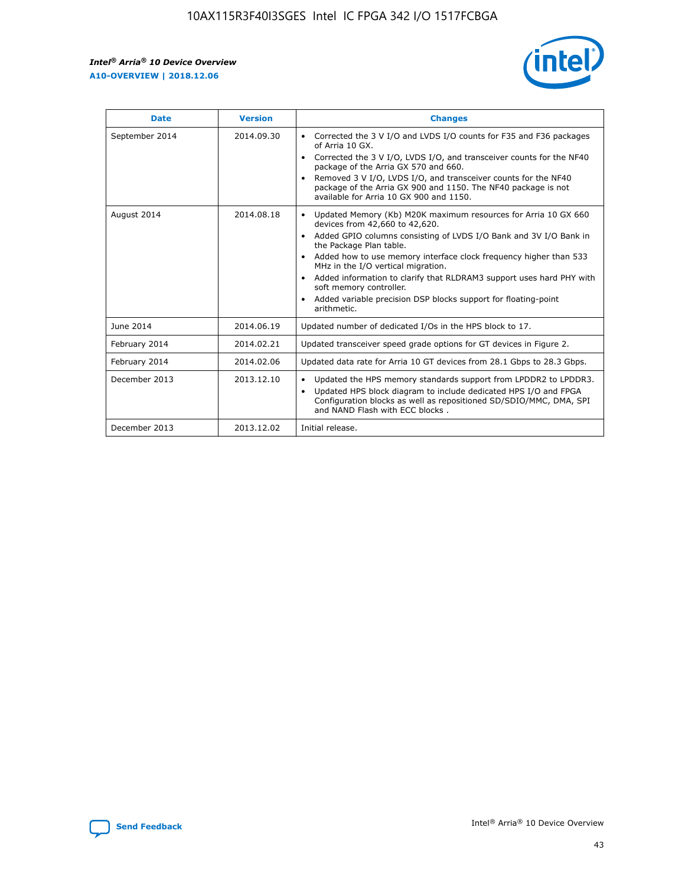r



| <b>Date</b>    | <b>Version</b> | <b>Changes</b>                                                                                                                                                                                                                                                                                                                                                                                                                                                                                                                                      |
|----------------|----------------|-----------------------------------------------------------------------------------------------------------------------------------------------------------------------------------------------------------------------------------------------------------------------------------------------------------------------------------------------------------------------------------------------------------------------------------------------------------------------------------------------------------------------------------------------------|
| September 2014 | 2014.09.30     | Corrected the 3 V I/O and LVDS I/O counts for F35 and F36 packages<br>$\bullet$<br>of Arria 10 GX.<br>Corrected the 3 V I/O, LVDS I/O, and transceiver counts for the NF40<br>$\bullet$<br>package of the Arria GX 570 and 660.<br>Removed 3 V I/O, LVDS I/O, and transceiver counts for the NF40<br>package of the Arria GX 900 and 1150. The NF40 package is not<br>available for Arria 10 GX 900 and 1150.                                                                                                                                       |
| August 2014    | 2014.08.18     | Updated Memory (Kb) M20K maximum resources for Arria 10 GX 660<br>devices from 42,660 to 42,620.<br>Added GPIO columns consisting of LVDS I/O Bank and 3V I/O Bank in<br>$\bullet$<br>the Package Plan table.<br>Added how to use memory interface clock frequency higher than 533<br>$\bullet$<br>MHz in the I/O vertical migration.<br>Added information to clarify that RLDRAM3 support uses hard PHY with<br>$\bullet$<br>soft memory controller.<br>Added variable precision DSP blocks support for floating-point<br>$\bullet$<br>arithmetic. |
| June 2014      | 2014.06.19     | Updated number of dedicated I/Os in the HPS block to 17.                                                                                                                                                                                                                                                                                                                                                                                                                                                                                            |
| February 2014  | 2014.02.21     | Updated transceiver speed grade options for GT devices in Figure 2.                                                                                                                                                                                                                                                                                                                                                                                                                                                                                 |
| February 2014  | 2014.02.06     | Updated data rate for Arria 10 GT devices from 28.1 Gbps to 28.3 Gbps.                                                                                                                                                                                                                                                                                                                                                                                                                                                                              |
| December 2013  | 2013.12.10     | Updated the HPS memory standards support from LPDDR2 to LPDDR3.<br>Updated HPS block diagram to include dedicated HPS I/O and FPGA<br>$\bullet$<br>Configuration blocks as well as repositioned SD/SDIO/MMC, DMA, SPI<br>and NAND Flash with ECC blocks.                                                                                                                                                                                                                                                                                            |
| December 2013  | 2013.12.02     | Initial release.                                                                                                                                                                                                                                                                                                                                                                                                                                                                                                                                    |